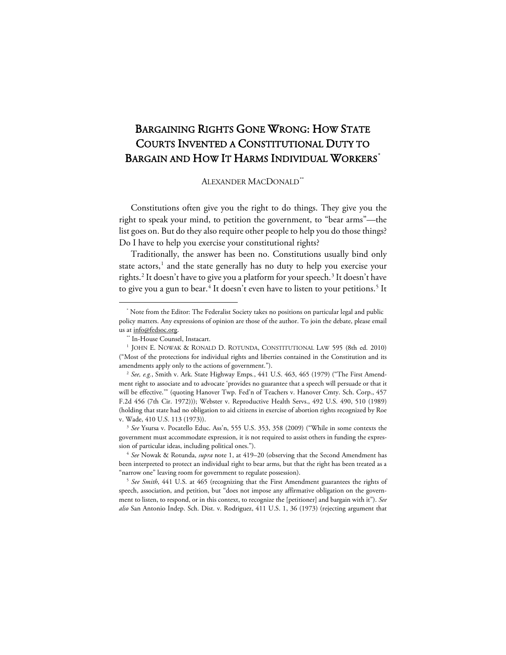# BARGAINING RIGHTS GONE WRONG: HOW STATE COURTS INVENTED A CONSTITUTIONAL DUTY TO BARGAIN AND HOW IT HARMS INDIVIDUAL WORKERS<sup>[\\*](#page-0-0)</sup>

### ALEXANDER MACDONALD[\\*\\*](#page-0-1)

Constitutions often give you the right to do things. They give you the right to speak your mind, to petition the government, to "bear arms"—the list goes on. But do they also require other people to help you do those things? Do I have to help you exercise your constitutional rights?

Traditionally, the answer has been no. Constitutions usually bind only state actors,<sup>[1](#page-0-2)</sup> and the state generally has no duty to help you exercise your rights.[2](#page-0-3) It doesn't have to give you a platform for your speech. [3](#page-0-4) It doesn't have to give you a gun to bear.<sup>[4](#page-0-5)</sup> It doesn't even have to listen to your petitions.<sup>[5](#page-0-6)</sup> It

<span id="page-0-0"></span><sup>\*</sup> Note from the Editor: The Federalist Society takes no positions on particular legal and public policy matters. Any expressions of opinion are those of the author. To join the debate, please email us at info@fedsoc.org.

<span id="page-0-2"></span><span id="page-0-1"></span><sup>\*\*</sup> In-House Counsel, Instacart. 1 JOHN E. NOWAK & RONALD D. ROTUNDA, CONSTITUTIONAL LAW 595 (8th ed. 2010) ("Most of the protections for individual rights and liberties contained in the Constitution and its amendments apply only to the actions of government."). 2 *See, e.g.*, Smith v. Ark. State Highway Emps*.*, 441 U.S. 463, 465 (1979) ("The First Amend-

<span id="page-0-3"></span>ment right to associate and to advocate 'provides no guarantee that a speech will persuade or that it will be effective.'" (quoting Hanover Twp. Fed'n of Teachers v. Hanover Cmty. Sch. Corp., 457 F.2d 456 (7th Cir. 1972))); Webster v. Reproductive Health Servs., 492 U.S. 490, 510 (1989) (holding that state had no obligation to aid citizens in exercise of abortion rights recognized by Roe v. Wade, 410 U.S. 113 (1973)). 3 *See* Ysursa v. Pocatello Educ. Ass'n, 555 U.S. 353, 358 (2009) ("While in some contexts the

<span id="page-0-4"></span>government must accommodate expression, it is not required to assist others in funding the expression of particular ideas, including political ones."). 4 *See* Nowak & Rotunda, *supra* note 1, at 419–20 (observing that the Second Amendment has

<span id="page-0-5"></span>been interpreted to protect an individual right to bear arms, but that the right has been treated as a

<span id="page-0-6"></span><sup>&</sup>quot;narrow one" leaving room for government to regulate possession). 5 *See Smith*, 441 U.S. at 465 (recognizing that the First Amendment guarantees the rights of speech, association, and petition, but "does not impose any affirmative obligation on the government to listen, to respond, or in this context, to recognize the [petitioner] and bargain with it"). *See also* San Antonio Indep. Sch. Dist. v. Rodriguez, 411 U.S. 1, 36 (1973) (rejecting argument that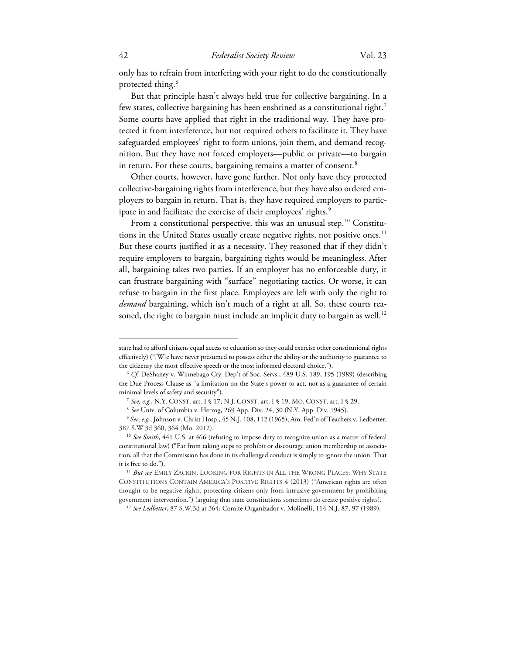only has to refrain from interfering with your right to do the constitutionally protected thing. [6](#page-1-0)

But that principle hasn't always held true for collective bargaining. In a few states, collective bargaining has been enshrined as a constitutional right.<sup>[7](#page-1-1)</sup> Some courts have applied that right in the traditional way. They have protected it from interference, but not required others to facilitate it. They have safeguarded employees' right to form unions, join them, and demand recognition. But they have not forced employers—public or private—to bargain in return. For these courts, bargaining remains a matter of consent.<sup>[8](#page-1-2)</sup>

Other courts, however, have gone further. Not only have they protected collective-bargaining rights from interference, but they have also ordered employers to bargain in return. That is, they have required employers to partic-ipate in and facilitate the exercise of their employees' rights.<sup>[9](#page-1-3)</sup>

From a constitutional perspective, this was an unusual step. [10](#page-1-4) Constitu-tions in the United States usually create negative rights, not positive ones.<sup>[11](#page-1-5)</sup> But these courts justified it as a necessity. They reasoned that if they didn't require employers to bargain, bargaining rights would be meaningless. After all, bargaining takes two parties. If an employer has no enforceable duty, it can frustrate bargaining with "surface" negotiating tactics. Or worse, it can refuse to bargain in the first place. Employees are left with only the right to *demand* bargaining, which isn't much of a right at all. So, these courts rea-soned, the right to bargain must include an implicit duty to bargain as well.<sup>[12](#page-1-6)</sup>

state had to afford citizens equal access to education so they could exercise other constitutional rights effectively) ("[W]e have never presumed to possess either the ability or the authority to guarantee to the citizenry the most effective speech or the most informed electoral choice.").

<span id="page-1-0"></span><sup>6</sup> *Cf.* DeShaney v. Winnebago Cty. Dep't of Soc. Servs., 489 U.S. 189, 195 (1989) (describing the Due Process Clause as "a limitation on the State's power to act, not as a guarantee of certain minimal levels of safety and security").

<sup>7</sup> *See, e.g.*, N.Y. CONST. art. I § 17; N.J. CONST. art. I § 19; MO. CONST. art. I § 29. 8 *See* Univ. of Columbia v. Herzog, 269 App. Div. 24, 30 (N.Y. App. Div. 1945).

<span id="page-1-3"></span><span id="page-1-2"></span><span id="page-1-1"></span><sup>9</sup> *See, e.g.*, Johnson v. Christ Hosp., 45 N.J. 108, 112 (1965); Am. Fed'n of Teachers v. Ledbetter, 387 S.W.3d 360, 364 (Mo. 2012).

<span id="page-1-4"></span><sup>&</sup>lt;sup>10</sup> See Smith, 441 U.S. at 466 (refusing to impose duty to recognize union as a matter of federal constitutional law) ("Far from taking steps to prohibit or discourage union membership or association, all that the Commission has done in its challenged conduct is simply to ignore the union. That it is free to do."). 11 *But see* EMILY ZACKIN, LOOKING FOR RIGHTS IN ALL THE WRONG PLACES: WHY STATE

<span id="page-1-6"></span><span id="page-1-5"></span>CONSTITUTIONS CONTAIN AMERICA'S POSITIVE RIGHTS 4 (2013) ("American rights are often thought to be negative rights, protecting citizens only from intrusive government by prohibiting government intervention.") (arguing that state constitutions sometimes do create positive rights). 12 *See Ledbetter*, 87 S.W.3d at 364; Comite Organizador v. Molinelli, 114 N.J. 87, 97 (1989).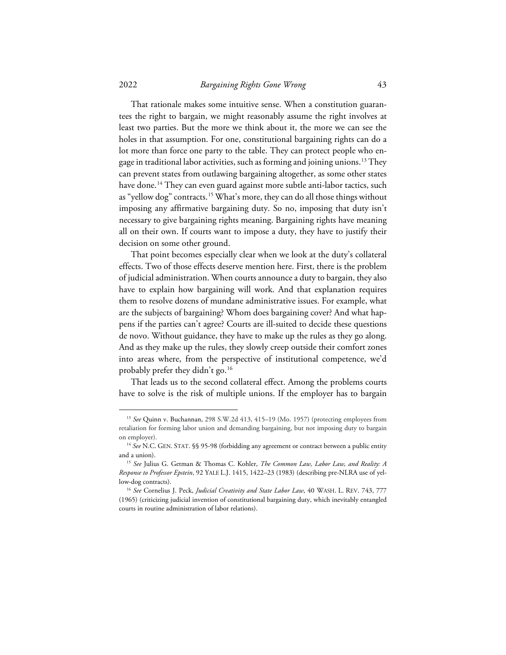#### 2022 *Bargaining Rights Gone Wrong* 43

That rationale makes some intuitive sense. When a constitution guarantees the right to bargain, we might reasonably assume the right involves at least two parties. But the more we think about it, the more we can see the holes in that assumption. For one, constitutional bargaining rights can do a lot more than force one party to the table. They can protect people who en-gage in traditional labor activities, such as forming and joining unions.<sup>[13](#page-2-0)</sup> They can prevent states from outlawing bargaining altogether, as some other states have done.<sup>[14](#page-2-1)</sup> They can even guard against more subtle anti-labor tactics, such as "yellow dog" contracts.<sup>[15](#page-2-2)</sup> What's more, they can do all those things without imposing any affirmative bargaining duty. So no, imposing that duty isn't necessary to give bargaining rights meaning. Bargaining rights have meaning all on their own. If courts want to impose a duty, they have to justify their decision on some other ground.

That point becomes especially clear when we look at the duty's collateral effects. Two of those effects deserve mention here. First, there is the problem of judicial administration. When courts announce a duty to bargain, they also have to explain how bargaining will work. And that explanation requires them to resolve dozens of mundane administrative issues. For example, what are the subjects of bargaining? Whom does bargaining cover? And what happens if the parties can't agree? Courts are ill-suited to decide these questions de novo. Without guidance, they have to make up the rules as they go along. And as they make up the rules, they slowly creep outside their comfort zones into areas where, from the perspective of institutional competence, we'd probably prefer they didn't go.[16](#page-2-3)

That leads us to the second collateral effect. Among the problems courts have to solve is the risk of multiple unions. If the employer has to bargain

<span id="page-2-0"></span><sup>13</sup> *See* Quinn v. Buchannan, 298 S.W.2d 413, 415–19 (Mo. 1957) (protecting employees from retaliation for forming labor union and demanding bargaining, but not imposing duty to bargain on employer).

<span id="page-2-1"></span><sup>14</sup> *See* N.C. GEN. STAT. §§ 95-98 (forbidding any agreement or contract between a public entity and a union).

<span id="page-2-2"></span><sup>15</sup> *See* Julius G. Getman & Thomas C. Kohler, *The Common Law, Labor Law, and Reality: A Response to Professor Epstein*, 92 YALE L.J. 1415, 1422–23 (1983) (describing pre-NLRA use of yellow-dog contracts).

<span id="page-2-3"></span><sup>16</sup> *See* Cornelius J. Peck, *Judicial Creativity and State Labor Law*, 40 WASH. L. REV. 743, 777 (1965) (criticizing judicial invention of constitutional bargaining duty, which inevitably entangled courts in routine administration of labor relations).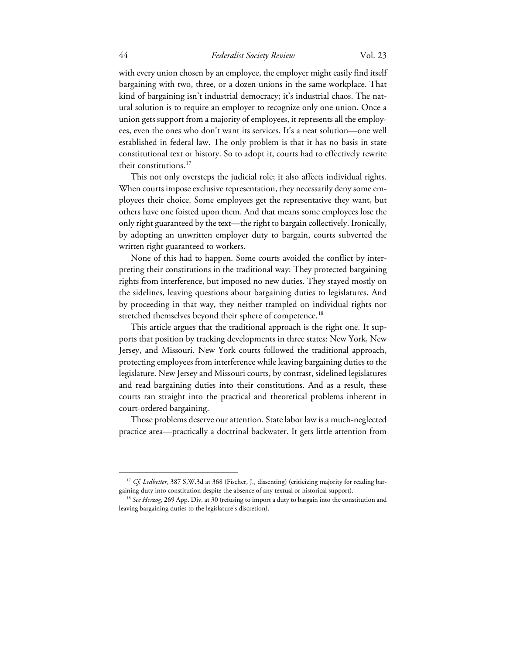### 44 *Federalist Society Review* Vol. 23

with every union chosen by an employee, the employer might easily find itself bargaining with two, three, or a dozen unions in the same workplace. That kind of bargaining isn't industrial democracy; it's industrial chaos. The natural solution is to require an employer to recognize only one union. Once a union gets support from a majority of employees, it represents all the employees, even the ones who don't want its services. It's a neat solution—one well established in federal law. The only problem is that it has no basis in state constitutional text or history. So to adopt it, courts had to effectively rewrite their constitutions.<sup>[17](#page-3-0)</sup>

This not only oversteps the judicial role; it also affects individual rights. When courts impose exclusive representation, they necessarily deny some employees their choice. Some employees get the representative they want, but others have one foisted upon them. And that means some employees lose the only right guaranteed by the text—the right to bargain collectively. Ironically, by adopting an unwritten employer duty to bargain, courts subverted the written right guaranteed to workers.

None of this had to happen. Some courts avoided the conflict by interpreting their constitutions in the traditional way: They protected bargaining rights from interference, but imposed no new duties. They stayed mostly on the sidelines, leaving questions about bargaining duties to legislatures. And by proceeding in that way, they neither trampled on individual rights nor stretched themselves beyond their sphere of competence.<sup>[18](#page-3-1)</sup>

This article argues that the traditional approach is the right one. It supports that position by tracking developments in three states: New York, New Jersey, and Missouri. New York courts followed the traditional approach, protecting employees from interference while leaving bargaining duties to the legislature. New Jersey and Missouri courts, by contrast, sidelined legislatures and read bargaining duties into their constitutions. And as a result, these courts ran straight into the practical and theoretical problems inherent in court-ordered bargaining.

Those problems deserve our attention. State labor law is a much-neglected practice area—practically a doctrinal backwater. It gets little attention from

<span id="page-3-0"></span><sup>&</sup>lt;sup>17</sup> *Cf. Ledbetter*, 387 S, W.3d at 368 (Fischer, J., dissenting) (criticizing majority for reading bargaining duty into constitution despite the absence of any textual or historical support). 18 *See Herzog*, 269 App. Div. at 30 (refusing to import a duty to bargain into the constitution and

<span id="page-3-1"></span>leaving bargaining duties to the legislature's discretion).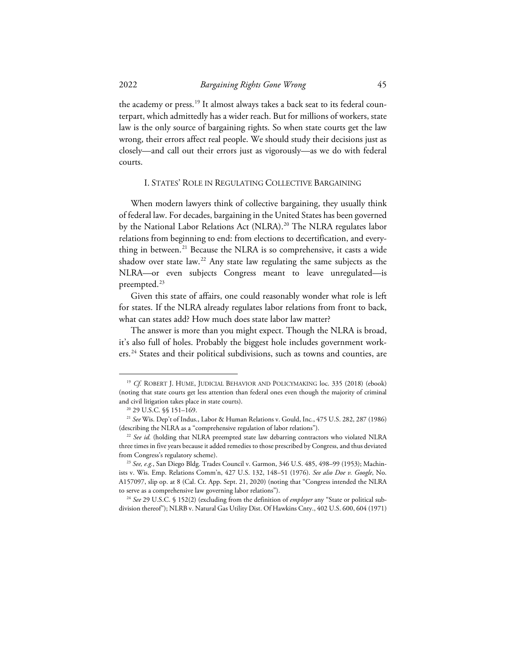the academy or press.<sup>[19](#page-4-0)</sup> It almost always takes a back seat to its federal counterpart, which admittedly has a wider reach. But for millions of workers, state law is the only source of bargaining rights. So when state courts get the law wrong, their errors affect real people. We should study their decisions just as closely—and call out their errors just as vigorously—as we do with federal courts.

#### I. STATES' ROLE IN REGULATING COLLECTIVE BARGAINING

When modern lawyers think of collective bargaining, they usually think of federal law. For decades, bargaining in the United States has been governed by the National Labor Relations Act (NLRA).<sup>20</sup> The NLRA regulates labor relations from beginning to end: from elections to decertification, and every-thing in between.<sup>[21](#page-4-2)</sup> Because the NLRA is so comprehensive, it casts a wide shadow over state law.<sup>[22](#page-4-3)</sup> Any state law regulating the same subjects as the NLRA—or even subjects Congress meant to leave unregulated—is preempted.<sup>[23](#page-4-4)</sup>

Given this state of affairs, one could reasonably wonder what role is left for states. If the NLRA already regulates labor relations from front to back, what can states add? How much does state labor law matter?

The answer is more than you might expect. Though the NLRA is broad, it's also full of holes. Probably the biggest hole includes government work-ers.<sup>[24](#page-4-5)</sup> States and their political subdivisions, such as towns and counties, are

<span id="page-4-0"></span><sup>&</sup>lt;sup>19</sup> *Cf.* ROBERT J. HUME, JUDICIAL BEHAVIOR AND POLICYMAKING loc. 335 (2018) (ebook) (noting that state courts get less attention than federal ones even though the majority of criminal and civil litigation takes place in state courts). 20 29 U.S.C. §§ 151–169. 21 *See* Wis. Dep't of Indus., Labor & Human Relations v. Gould, Inc*.*, 475 U.S. 282, 287 (1986)

<span id="page-4-2"></span><span id="page-4-1"></span><sup>(</sup>describing the NLRA as a "comprehensive regulation of labor relations"). 22 *See id.* (holding that NLRA preempted state law debarring contractors who violated NLRA

<span id="page-4-3"></span>three times in five years because it added remedies to those prescribed by Congress, and thus deviated from Congress's regulatory scheme). 23 *See, e.g.*, San Diego Bldg. Trades Council v. Garmon, 346 U.S. 485, 498–99 (1953); Machin-

<span id="page-4-4"></span>ists v. Wis. Emp. Relations Comm'n, 427 U.S. 132, 148–51 (1976). *See also Doe v. Google*, No. A157097, slip op. at 8 (Cal. Ct. App. Sept. 21, 2020) (noting that "Congress intended the NLRA

<span id="page-4-5"></span>to serve as a comprehensive law governing labor relations"). 24 *See* 29 U.S.C. § 152(2) (excluding from the definition of *employer* any "State or political subdivision thereof"); NLRB v. Natural Gas Utility Dist. Of Hawkins Cnty., 402 U.S. 600, 604 (1971)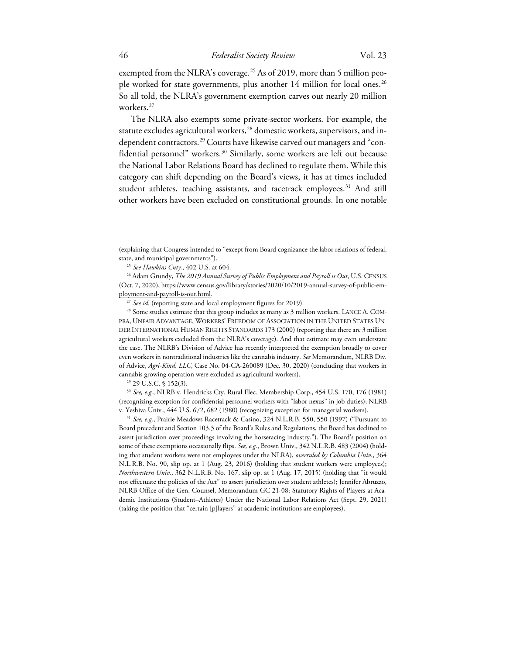exempted from the NLRA's coverage. [25](#page-5-0) As of 2019, more than 5 million peo-ple worked for state governments, plus another 14 million for local ones.<sup>[26](#page-5-1)</sup> So all told, the NLRA's government exemption carves out nearly 20 million workers.<sup>[27](#page-5-2)</sup>

The NLRA also exempts some private-sector workers. For example, the statute excludes agricultural workers,<sup>[28](#page-5-3)</sup> domestic workers, supervisors, and in-dependent contractors.<sup>[29](#page-5-4)</sup> Courts have likewise carved out managers and "con-fidential personnel" workers.<sup>[30](#page-5-5)</sup> Similarly, some workers are left out because the National Labor Relations Board has declined to regulate them. While this category can shift depending on the Board's views, it has at times included student athletes, teaching assistants, and racetrack employees.<sup>[31](#page-5-6)</sup> And still other workers have been excluded on constitutional grounds. In one notable

<span id="page-5-5"></span><span id="page-5-4"></span>(recognizing exception for confidential personnel workers with "labor nexus" in job duties); NLRB v. Yeshiva Univ*.*, 444 U.S. 672, 682 (1980) (recognizing exception for managerial workers). 31 *See, e.g.*, Prairie Meadows Racetrack & Casino, 324 N.L.R.B. 550, 550 (1997) ("Pursuant to

<span id="page-5-6"></span>Board precedent and Section 103.3 of the Board's Rules and Regulations, the Board has declined to assert jurisdiction over proceedings involving the horseracing industry."). The Board's position on some of these exemptions occasionally flips. *See, e.g.*, Brown Univ., 342 N.L.R.B. 483 (2004) (holding that student workers were not employees under the NLRA), *overruled by Columbia Univ.*, 364 N.L.R.B. No. 90, slip op. at 1 (Aug. 23, 2016) (holding that student workers were employees); *Northwestern Univ.*, 362 N.L.R.B. No. 167, slip op. at 1 (Aug. 17, 2015) (holding that "it would not effectuate the policies of the Act" to assert jurisdiction over student athletes); Jennifer Abruzzo, NLRB Office of the Gen. Counsel, Memorandum GC 21-08: Statutory Rights of Players at Academic Institutions (Student–Athletes) Under the National Labor Relations Act (Sept. 29, 2021) (taking the position that "certain [p]layers" at academic institutions are employees).

<sup>(</sup>explaining that Congress intended to "except from Board cognizance the labor relations of federal, state, and municipal governments"). 25 *See Hawkins Cnty.*, 402 U.S. at 604.

<span id="page-5-1"></span><span id="page-5-0"></span><sup>&</sup>lt;sup>26</sup> Adam Grundy, *The 2019 Annual Survey of Public Employment and Payroll is Out*, U.S. CENSUS (Oct. 7, 2020), https://www.census.gov/library/stories/2020/10/2019-annual-survey-of-public-employment-and-payroll-is-out.html.

<span id="page-5-3"></span><span id="page-5-2"></span><sup>&</sup>lt;sup>27</sup> *See id.* (reporting state and local employment figures for 2019).<br><sup>28</sup> Some studies estimate that this group includes as many as 3 million workers. LANCE A. COM-PRA, UNFAIR ADVANTAGE, WORKERS' FREEDOM OF ASSOCIATION IN THE UNITED STATES UN-DER INTERNATIONAL HUMAN RIGHTS STANDARDS 173 (2000) (reporting that there are 3 million agricultural workers excluded from the NLRA's coverage). And that estimate may even understate the case. The NLRB's Division of Advice has recently interpreted the exemption broadly to cover even workers in nontraditional industries like the cannabis industry. *See* Memorandum, NLRB Div. of Advice, *Agri-Kind, LLC*, Case No. 04-CA-260089 (Dec. 30, 2020) (concluding that workers in cannabis growing operation were excluded as agricultural workers). 29 29 U.S.C. § 152(3). 30 *See, e.g.*, NLRB v. Hendricks Cty. Rural Elec. Membership Corp., 454 U.S. 170, 176 (1981)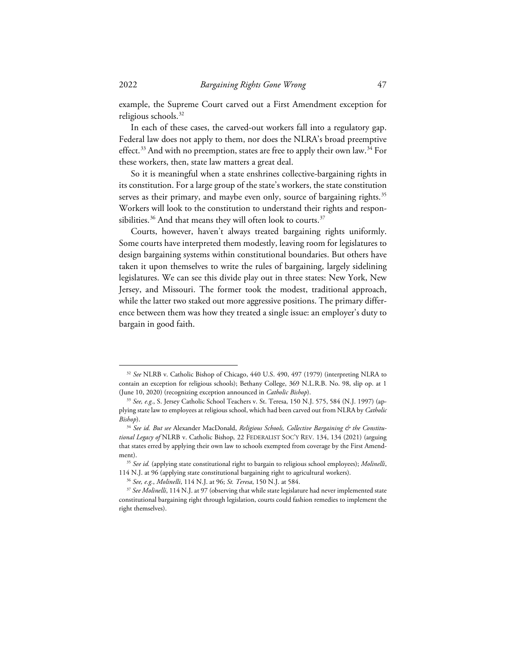example, the Supreme Court carved out a First Amendment exception for religious schools.<sup>32</sup>

In each of these cases, the carved-out workers fall into a regulatory gap. Federal law does not apply to them, nor does the NLRA's broad preemptive effect.<sup>[33](#page-6-1)</sup> And with no preemption, states are free to apply their own law.<sup>[34](#page-6-2)</sup> For these workers, then, state law matters a great deal.

So it is meaningful when a state enshrines collective-bargaining rights in its constitution. For a large group of the state's workers, the state constitution serves as their primary, and maybe even only, source of bargaining rights.<sup>[35](#page-6-3)</sup> Workers will look to the constitution to understand their rights and responsibilities. $36$  And that means they will often look to courts. $37$ 

Courts, however, haven't always treated bargaining rights uniformly. Some courts have interpreted them modestly, leaving room for legislatures to design bargaining systems within constitutional boundaries. But others have taken it upon themselves to write the rules of bargaining, largely sidelining legislatures. We can see this divide play out in three states: New York, New Jersey, and Missouri. The former took the modest, traditional approach, while the latter two staked out more aggressive positions. The primary difference between them was how they treated a single issue: an employer's duty to bargain in good faith.

<span id="page-6-0"></span><sup>32</sup> *See* NLRB v. Catholic Bishop of Chicago, 440 U.S. 490, 497 (1979) (interpreting NLRA to contain an exception for religious schools); Bethany College, 369 N.L.R.B. No. 98, slip op. at 1 (June 10, 2020) (recognizing exception announced in *Catholic Bishop*).

<span id="page-6-1"></span><sup>33</sup> *See, e.g.*, S. Jersey Catholic School Teachers v. St. Teresa, 150 N.J. 575, 584 (N.J. 1997) (applying state law to employees at religious school, which had been carved out from NLRA by *Catholic Bishop*).

<span id="page-6-2"></span><sup>&</sup>lt;sup>34</sup> See id. But see Alexander MacDonald, Religious Schools, Collective Bargaining & the Constitu*tional Legacy of* NLRB v. Catholic Bishop*,* 22 FEDERALIST SOC'Y REV. 134, 134 (2021) (arguing that states erred by applying their own law to schools exempted from coverage by the First Amend-

<span id="page-6-3"></span>ment). 35 *See id.* (applying state constitutional right to bargain to religious school employees); *Molinelli*, 114 N.J. at 96 (applying state constitutional bargaining right to agricultural workers). 36 *See, e.g.*, *Molinelli*, 114 N.J. at 96; *St. Teresa*, 150 N.J. at 584.

<span id="page-6-5"></span><span id="page-6-4"></span><sup>37</sup> *See Molinelli*, 114 N.J. at 97 (observing that while state legislature had never implemented state constitutional bargaining right through legislation, courts could fashion remedies to implement the right themselves).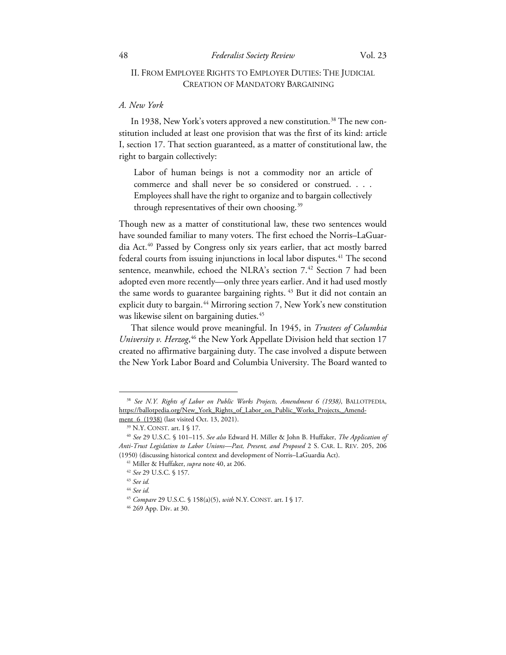# II. FROM EMPLOYEE RIGHTS TO EMPLOYER DUTIES: THE JUDICIAL CREATION OF MANDATORY BARGAINING

### *A. New York*

In 19[38](#page-7-0), New York's voters approved a new constitution.<sup>38</sup> The new constitution included at least one provision that was the first of its kind: article I, section 17. That section guaranteed, as a matter of constitutional law, the right to bargain collectively:

Labor of human beings is not a commodity nor an article of commerce and shall never be so considered or construed. . . . Employees shall have the right to organize and to bargain collectively through representatives of their own choosing.<sup>[39](#page-7-1)</sup>

Though new as a matter of constitutional law, these two sentences would have sounded familiar to many voters. The first echoed the Norris–LaGuardia Act.[40](#page-7-2) Passed by Congress only six years earlier, that act mostly barred federal courts from issuing injunctions in local labor disputes.<sup>[41](#page-7-3)</sup> The second sentence, meanwhile, echoed the NLRA's section 7.<sup>42</sup> Section 7 had been adopted even more recently—only three years earlier. And it had used mostly the same words to guarantee bargaining rights.<sup>[43](#page-7-5)</sup> But it did not contain an explicit duty to bargain.<sup>[44](#page-7-6)</sup> Mirroring section 7, New York's new constitution was likewise silent on bargaining duties. [45](#page-7-7)

That silence would prove meaningful. In 1945, in *Trustees of Columbia*  University v. Herzog,<sup>[46](#page-7-8)</sup> the New York Appellate Division held that section 17 created no affirmative bargaining duty. The case involved a dispute between the New York Labor Board and Columbia University. The Board wanted to

<span id="page-7-0"></span><sup>38</sup> *See N.Y. Rights of Labor on Public Works Projects, Amendment 6 (1938)*, BALLOTPEDIA, https://ballotpedia.org/New York\_Rights\_of\_Labor\_on\_Public\_Works\_Projects,\_Amend-

ment 6 (1938) (last visited Oct. 13, 2021).<br><sup>39</sup> N.Y. CONST. art. I § 17.

<span id="page-7-4"></span><span id="page-7-3"></span><span id="page-7-2"></span><span id="page-7-1"></span><sup>40</sup> *See* 29 U.S.C. § 101–115. *See also* Edward H. Miller & John B. Huffaker, *The Application of Anti-Trust Legislation to Labor Unions—Past, Present, and Proposed* 2 S. CAR. L. REV. 205, 206 (1950) (discussing historical context and development of Norris–LaGuardia Act). 41 Miller & Huffaker, *supra* note 40, at 206. 42 *See* 29 U.S.C. § 157. 43 *See id.* 

<span id="page-7-6"></span><span id="page-7-5"></span><sup>44</sup> *See id.*

<span id="page-7-7"></span><sup>45</sup> *Compare* 29 U.S.C. § 158(a)(5), *with* N.Y. CONST. art. I § 17.

<span id="page-7-8"></span><sup>46</sup> 269 App. Div. at 30.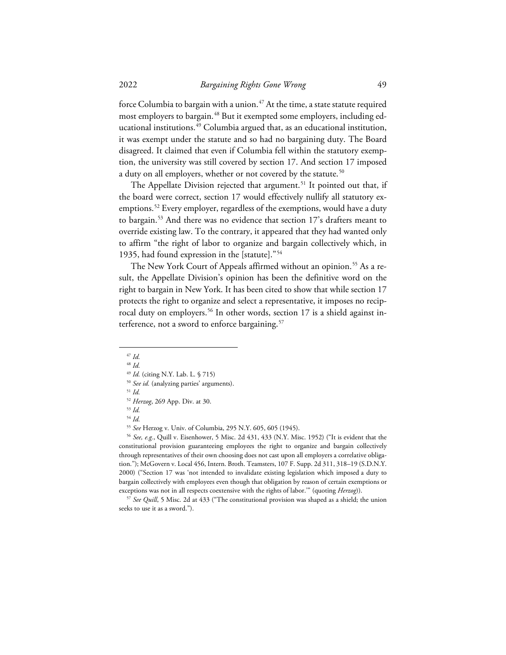force Columbia to bargain with a union.<sup>[47](#page-8-0)</sup> At the time, a state statute required most employers to bargain.<sup>[48](#page-8-1)</sup> But it exempted some employers, including ed-ucational institutions.<sup>[49](#page-8-2)</sup> Columbia argued that, as an educational institution, it was exempt under the statute and so had no bargaining duty. The Board disagreed. It claimed that even if Columbia fell within the statutory exemption, the university was still covered by section 17. And section 17 imposed a duty on all employers, whether or not covered by the statute.<sup>[50](#page-8-3)</sup>

The Appellate Division rejected that argument.<sup>[51](#page-8-4)</sup> It pointed out that, if the board were correct, section 17 would effectively nullify all statutory ex-emptions.<sup>[52](#page-8-5)</sup> Every employer, regardless of the exemptions, would have a duty to bargain.[53](#page-8-6) And there was no evidence that section 17's drafters meant to override existing law. To the contrary, it appeared that they had wanted only to affirm "the right of labor to organize and bargain collectively which, in 1935, had found expression in the [statute]."[54](#page-8-7)

The New York Court of Appeals affirmed without an opinion.<sup>[55](#page-8-8)</sup> As a result, the Appellate Division's opinion has been the definitive word on the right to bargain in New York. It has been cited to show that while section 17 protects the right to organize and select a representative, it imposes no recip-rocal duty on employers.<sup>[56](#page-8-9)</sup> In other words, section 17 is a shield against in-terference, not a sword to enforce bargaining.<sup>[57](#page-8-10)</sup>

<sup>53</sup> *Id.*

<span id="page-8-9"></span><span id="page-8-8"></span><span id="page-8-7"></span><span id="page-8-6"></span><span id="page-8-5"></span><sup>56</sup> See, e.g., Quill v. Eisenhower, 5 Misc. 2d 431, 433 (N.Y. Misc. 1952) ("It is evident that the constitutional provision guaranteeing employees the right to organize and bargain collectively through representatives of their own choosing does not cast upon all employers a correlative obligation."); McGovern v. Local 456, Intern. Broth. Teamsters, 107 F. Supp. 2d 311, 318–19 (S.D.N.Y. 2000) ("Section 17 was 'not intended to invalidate existing legislation which imposed a duty to bargain collectively with employees even though that obligation by reason of certain exemptions or

<span id="page-8-10"></span>exceptions was not in all respects coextensive with the rights of labor.'" (quoting *Herzog*)). 57 *See Quill*, 5 Misc. 2d at 433 ("The constitutional provision was shaped as a shield; the union seeks to use it as a sword.").

<span id="page-8-1"></span><span id="page-8-0"></span><sup>47</sup> *Id.*

<sup>48</sup> *Id.*

<sup>49</sup> *Id.* (citing N.Y. Lab. L. § 715)

<span id="page-8-3"></span><span id="page-8-2"></span><sup>50</sup> *See id.* (analyzing parties' arguments).

<span id="page-8-4"></span><sup>51</sup> *Id.*

<sup>52</sup> *Herzog*, 269 App. Div. at 30.

<sup>&</sup>lt;sup>54</sup> *Id. Shee Herzog v. Univ. of Columbia, 295 N.Y.* 605, 605 (1945).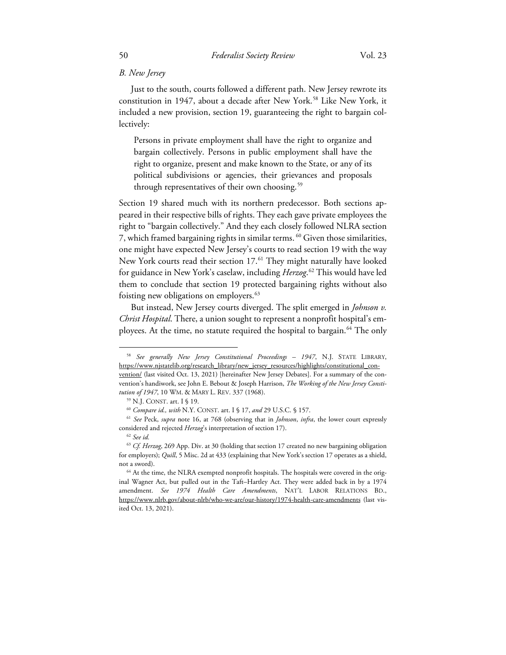### *B. New Jersey*

Just to the south, courts followed a different path. New Jersey rewrote its constitution in 1947, about a decade after New York.<sup>[58](#page-9-0)</sup> Like New York, it included a new provision, section 19, guaranteeing the right to bargain collectively:

Persons in private employment shall have the right to organize and bargain collectively. Persons in public employment shall have the right to organize, present and make known to the State, or any of its political subdivisions or agencies, their grievances and proposals through representatives of their own choosing.<sup>[59](#page-9-1)</sup>

Section 19 shared much with its northern predecessor. Both sections appeared in their respective bills of rights. They each gave private employees the right to "bargain collectively." And they each closely followed NLRA section 7, which framed bargaining rights in similar terms. [60](#page-9-2) Given those similarities, one might have expected New Jersey's courts to read section 19 with the way New York courts read their section 17.<sup>[61](#page-9-3)</sup> They might naturally have looked for guidance in New York's caselaw, including *Herzog*. [62](#page-9-4) This would have led them to conclude that section 19 protected bargaining rights without also foisting new obligations on employers.<sup>[63](#page-9-5)</sup>

But instead, New Jersey courts diverged. The split emerged in *Johnson v. Christ Hospital*. There, a union sought to represent a nonprofit hospital's employees. At the time, no statute required the hospital to bargain.<sup>64</sup> The only

<span id="page-9-0"></span><sup>58</sup> *See generally New Jersey Constitutional Proceedings – 1947*, N.J. STATE LIBRARY, https://www.njstatelib.org/research\_library/new\_jersey\_resources/highlights/constitutional\_convention/ (last visited Oct. 13, 2021) [hereinafter New Jersey Debates]. For a summary of the convention's handiwork, see John E. Bebout & Joseph Harrison, *The Working of the New Jersey Constitution of 1947*, 10 WM. & MARY L. REV. 337 (1968).

<span id="page-9-3"></span><span id="page-9-2"></span><span id="page-9-1"></span><sup>&</sup>lt;sup>59</sup> N.J. CONST. art. I § 19.<br><sup>60</sup> Compare id., with N.Y. CONST. art. I § 17, and 29 U.S.C. § 157.<br><sup>61</sup> See Peck, *supra* note 16, at 768 (observing that in *Johnson, infra*, the lower court expressly considered and rejected *Herzog*'s interpretation of section 17). 62 *See id.*

<span id="page-9-5"></span><span id="page-9-4"></span><sup>63</sup> *Cf. Herzog*, 269 App. Div. at 30 (holding that section 17 created no new bargaining obligation for employers); *Quill*, 5 Misc. 2d at 433 (explaining that New York's section 17 operates as a shield,

<span id="page-9-6"></span>not a sword).<br><sup>64</sup> At the time, the NLRA exempted nonprofit hospitals. The hospitals were covered in the original Wagner Act, but pulled out in the Taft–Hartley Act. They were added back in by a 1974 amendment. *See 1974 Health Care Amendments*, NAT'L LABOR RELATIONS BD., https://www.nlrb.gov/about-nlrb/who-we-are/our-history/1974-health-care-amendments (last visited Oct. 13, 2021).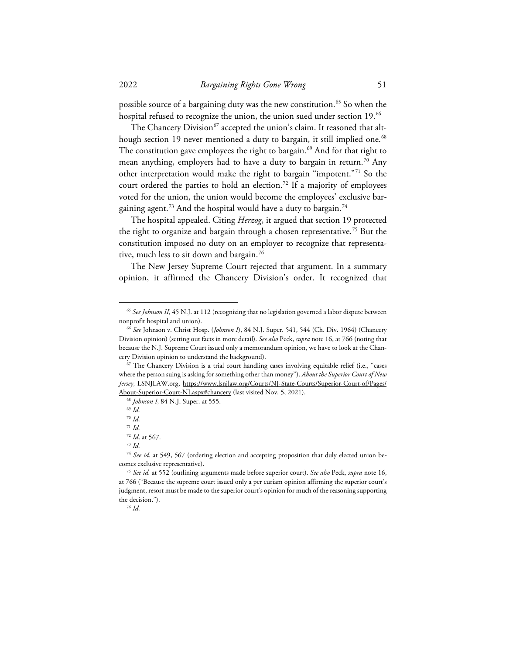possible source of a bargaining duty was the new constitution.<sup>[65](#page-10-0)</sup> So when the hospital refused to recognize the union, the union sued under section 19.<sup>[66](#page-10-1)</sup>

The Chancery Division<sup>[67](#page-10-2)</sup> accepted the union's claim. It reasoned that alt-hough section 19 never mentioned a duty to bargain, it still implied one.<sup>[68](#page-10-3)</sup> The constitution gave employees the right to bargain.<sup>[69](#page-10-4)</sup> And for that right to mean anything, employers had to have a duty to bargain in return.<sup>[70](#page-10-5)</sup> Any other interpretation would make the right to bargain "impotent."[71](#page-10-6) So the court ordered the parties to hold an election.<sup>72</sup> If a majority of employees voted for the union, the union would become the employees' exclusive bar-gaining agent.<sup>[73](#page-10-8)</sup> And the hospital would have a duty to bargain.<sup>[74](#page-10-9)</sup>

The hospital appealed. Citing *Herzog*, it argued that section 19 protected the right to organize and bargain through a chosen representative.[75](#page-10-10) But the constitution imposed no duty on an employer to recognize that representa-tive, much less to sit down and bargain.<sup>[76](#page-10-11)</sup>

The New Jersey Supreme Court rejected that argument. In a summary opinion, it affirmed the Chancery Division's order. It recognized that

<span id="page-10-0"></span><sup>&</sup>lt;sup>65</sup> See Johnson II, 45 N.J. at 112 (recognizing that no legislation governed a labor dispute between nonprofit hospital and union). 66 *See* Johnson v. Christ Hosp. (*Johnson I*), 84 N.J. Super. 541, 544 (Ch. Div. 1964) (Chancery

<span id="page-10-1"></span>Division opinion) (setting out facts in more detail). *See also* Peck, *supra* note 16, at 766 (noting that because the N.J. Supreme Court issued only a memorandum opinion, we have to look at the Chancery Division opinion to understand the background). 67 The Chancery Division is a trial court handling cases involving equitable relief (i.e., "cases

<span id="page-10-4"></span><span id="page-10-3"></span><span id="page-10-2"></span>where the person suing is asking for something other than money"). *About the Superior Court of New Jersey*, LSNJLAW.org, https://www.lsnjlaw.org/Courts/NJ-State-Courts/Superior-Court-of/Pages/ About-Superior-Court-NJ.aspx#chancery (last visited Nov. 5, 2021). 68 *Johnson I*, 84 N.J. Super. at 555.

<sup>69</sup> *Id.*

<sup>70</sup> *Id.*

<sup>71</sup> *Id.*

<sup>72</sup> *Id*. at 567.

<sup>73</sup> *Id.*

<span id="page-10-9"></span><span id="page-10-8"></span><span id="page-10-7"></span><span id="page-10-6"></span><span id="page-10-5"></span><sup>74</sup> *See id.* at 549, 567 (ordering election and accepting proposition that duly elected union becomes exclusive representative). 75 *See id.* at 552 (outlining arguments made before superior court). *See also* Peck, *supra* note 16,

<span id="page-10-11"></span><span id="page-10-10"></span>at 766 ("Because the supreme court issued only a per curiam opinion affirming the superior court's judgment, resort must be made to the superior court's opinion for much of the reasoning supporting the decision."). 76 *Id.*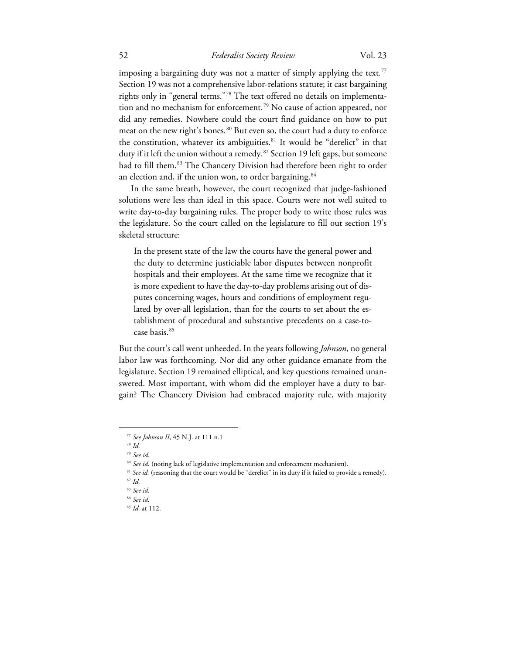## 52 *Federalist Society Review* Vol. 23

imposing a bargaining duty was not a matter of simply applying the text. $77$ Section 19 was not a comprehensive labor-relations statute; it cast bargaining rights only in "general terms."[78](#page-11-1) The text offered no details on implementa-tion and no mechanism for enforcement.<sup>[79](#page-11-2)</sup> No cause of action appeared, nor did any remedies. Nowhere could the court find guidance on how to put meat on the new right's bones.<sup>[80](#page-11-3)</sup> But even so, the court had a duty to enforce the constitution, whatever its ambiguities. [81](#page-11-4) It would be "derelict" in that duty if it left the union without a remedy.<sup>[82](#page-11-5)</sup> Section 19 left gaps, but someone had to fill them.<sup>[83](#page-11-6)</sup> The Chancery Division had therefore been right to order an election and, if the union won, to order bargaining.<sup>[84](#page-11-7)</sup>

In the same breath, however, the court recognized that judge-fashioned solutions were less than ideal in this space. Courts were not well suited to write day-to-day bargaining rules. The proper body to write those rules was the legislature. So the court called on the legislature to fill out section 19's skeletal structure:

In the present state of the law the courts have the general power and the duty to determine justiciable labor disputes between nonprofit hospitals and their employees. At the same time we recognize that it is more expedient to have the day-to-day problems arising out of disputes concerning wages, hours and conditions of employment regulated by over-all legislation, than for the courts to set about the establishment of procedural and substantive precedents on a case-tocase basis.[85](#page-11-8)

But the court's call went unheeded. In the years following *Johnson*, no general labor law was forthcoming. Nor did any other guidance emanate from the legislature. Section 19 remained elliptical, and key questions remained unanswered. Most important, with whom did the employer have a duty to bargain? The Chancery Division had embraced majority rule, with majority

<sup>77</sup> *See Johnson II*, 45 N.J. at 111 n.1

<sup>78</sup> *Id.* 

<sup>79</sup> *See id.*

<span id="page-11-5"></span><span id="page-11-4"></span><span id="page-11-3"></span><span id="page-11-2"></span><span id="page-11-1"></span><span id="page-11-0"></span><sup>&</sup>lt;sup>80</sup> *See id.* (noting lack of legislative implementation and enforcement mechanism).<br><sup>81</sup> *See id.* (reasoning that the court would be "derelict" in its duty if it failed to provide a remedy).<br><sup>82</sup> *Id.* 

<span id="page-11-7"></span><span id="page-11-6"></span><sup>83</sup> *See id.*

<sup>84</sup> *See id.* 

<span id="page-11-8"></span><sup>85</sup> *Id.* at 112.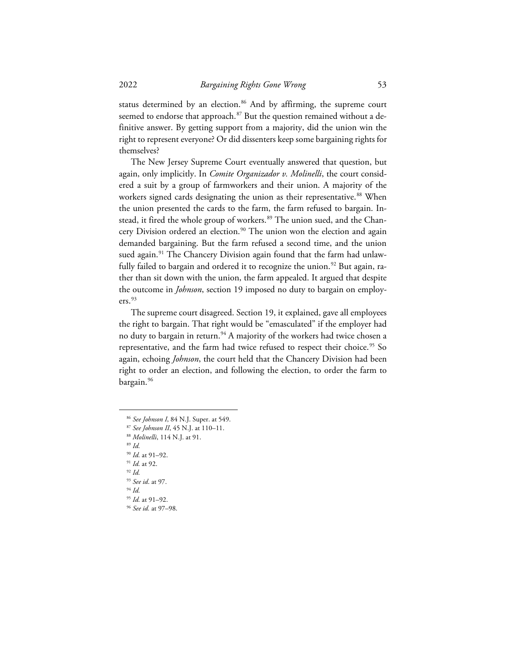status determined by an election.<sup>[86](#page-12-0)</sup> And by affirming, the supreme court seemed to endorse that approach.<sup>[87](#page-12-1)</sup> But the question remained without a definitive answer. By getting support from a majority, did the union win the right to represent everyone? Or did dissenters keep some bargaining rights for themselves?

The New Jersey Supreme Court eventually answered that question, but again, only implicitly. In *Comite Organizador v. Molinelli*, the court considered a suit by a group of farmworkers and their union. A majority of the workers signed cards designating the union as their representative.<sup>[88](#page-12-2)</sup> When the union presented the cards to the farm, the farm refused to bargain. Instead, it fired the whole group of workers. [89](#page-12-3) The union sued, and the Chan-cery Division ordered an election.<sup>[90](#page-12-4)</sup> The union won the election and again demanded bargaining. But the farm refused a second time, and the union sued again.<sup>[91](#page-12-5)</sup> The Chancery Division again found that the farm had unlawfully failed to bargain and ordered it to recognize the union. [92](#page-12-6) But again, rather than sit down with the union, the farm appealed. It argued that despite the outcome in *Johnson*, section 19 imposed no duty to bargain on employers. [93](#page-12-7)

The supreme court disagreed. Section 19, it explained, gave all employees the right to bargain. That right would be "emasculated" if the employer had no duty to bargain in return.<sup>[94](#page-12-8)</sup> A majority of the workers had twice chosen a representative, and the farm had twice refused to respect their choice. [95](#page-12-9) So again, echoing *Johnson*, the court held that the Chancery Division had been right to order an election, and following the election, to order the farm to bargain.<sup>[96](#page-12-10)</sup>

<span id="page-12-1"></span><span id="page-12-0"></span><sup>86</sup> *See Johnson I*, 84 N.J. Super. at 549.

<sup>87</sup> *See Johnson II*, 45 N.J. at 110–11.

<span id="page-12-2"></span><sup>88</sup> *Molinelli*, 114 N.J. at 91.

<span id="page-12-3"></span><sup>89</sup> *Id.*

<span id="page-12-4"></span><sup>90</sup> *Id.* at 91–92.

<span id="page-12-5"></span><sup>91</sup> *Id.* at 92.

<span id="page-12-6"></span><sup>92</sup> *Id.*

<sup>93</sup> *See id*. at 97.

<sup>94</sup> *Id.*

<span id="page-12-9"></span><span id="page-12-8"></span><span id="page-12-7"></span><sup>95</sup> *Id.* at 91–92.

<span id="page-12-10"></span><sup>96</sup> *See id.* at 97–98.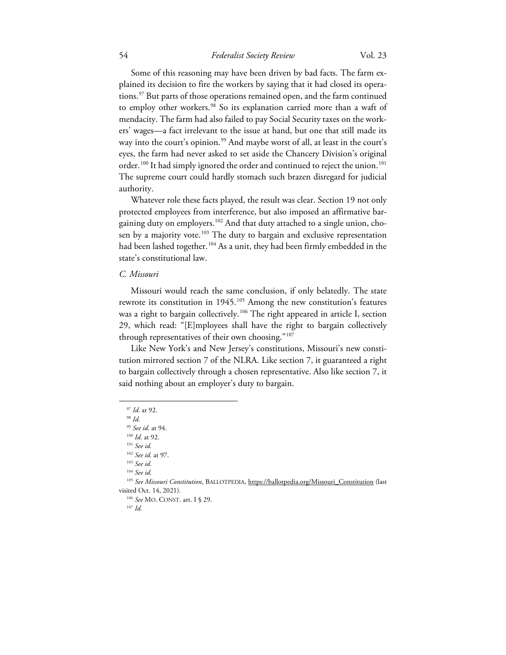### 54 *Federalist Society Review* Vol. 23

Some of this reasoning may have been driven by bad facts. The farm explained its decision to fire the workers by saying that it had closed its opera-tions.<sup>[97](#page-13-0)</sup> But parts of those operations remained open, and the farm continued to employ other workers.<sup>[98](#page-13-1)</sup> So its explanation carried more than a waft of mendacity. The farm had also failed to pay Social Security taxes on the workers' wages—a fact irrelevant to the issue at hand, but one that still made its way into the court's opinion.<sup>[99](#page-13-2)</sup> And maybe worst of all, at least in the court's eyes, the farm had never asked to set aside the Chancery Division's original order.<sup>[100](#page-13-3)</sup> It had simply ignored the order and continued to reject the union.<sup>[101](#page-13-4)</sup> The supreme court could hardly stomach such brazen disregard for judicial authority.

Whatever role these facts played, the result was clear. Section 19 not only protected employees from interference, but also imposed an affirmative bar-gaining duty on employers.<sup>[102](#page-13-5)</sup> And that duty attached to a single union, cho-sen by a majority vote.<sup>[103](#page-13-6)</sup> The duty to bargain and exclusive representation had been lashed together.<sup>[104](#page-13-7)</sup> As a unit, they had been firmly embedded in the state's constitutional law.

### *C. Missouri*

Missouri would reach the same conclusion, if only belatedly. The state rewrote its constitution in  $1945$ .<sup>[105](#page-13-8)</sup> Among the new constitution's features was a right to bargain collectively.<sup>[106](#page-13-9)</sup> The right appeared in article I, section 29, which read: "[E]mployees shall have the right to bargain collectively through representatives of their own choosing."<sup>[107](#page-13-10)</sup>

Like New York's and New Jersey's constitutions, Missouri's new constitution mirrored section 7 of the NLRA. Like section 7, it guaranteed a right to bargain collectively through a chosen representative. Also like section 7, it said nothing about an employer's duty to bargain.

<sup>107</sup> *Id.*

<sup>97</sup> *Id.* at 92.

<span id="page-13-1"></span><span id="page-13-0"></span><sup>98</sup> *Id.*

<sup>99</sup> *See id.* at 94. 100 *Id*. at 92.

<span id="page-13-3"></span><span id="page-13-2"></span><sup>101</sup> *See id.*

<sup>102</sup> *See id.* at 97.

<sup>103</sup> *See id.* 

<sup>104</sup> *See id.*

<span id="page-13-10"></span><span id="page-13-9"></span><span id="page-13-8"></span><span id="page-13-7"></span><span id="page-13-6"></span><span id="page-13-5"></span><span id="page-13-4"></span><sup>&</sup>lt;sup>105</sup> See Missouri Constitution, BALLOTPEDIA, https://ballotpedia.org/Missouri\_Constitution (last visited Oct. 14, 2021). 106 *See* MO. CONST. art. I § 29.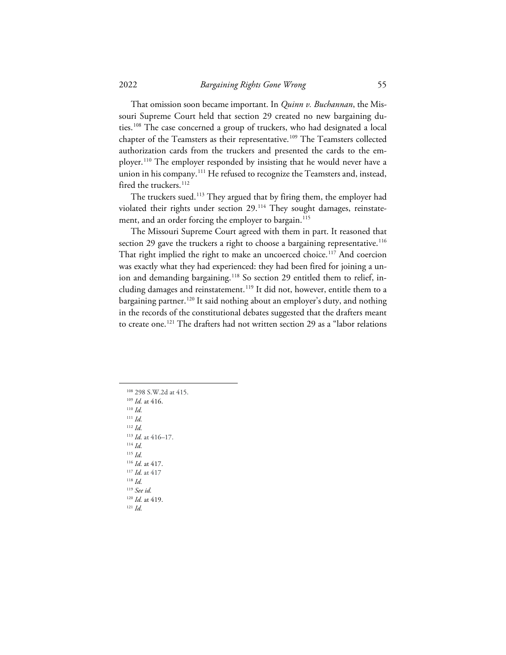That omission soon became important. In *Quinn v. Buchannan*, the Missouri Supreme Court held that section 29 created no new bargaining duties.[108](#page-14-0) The case concerned a group of truckers, who had designated a local chapter of the Teamsters as their representative.<sup>[109](#page-14-1)</sup> The Teamsters collected authorization cards from the truckers and presented the cards to the em-ployer.<sup>[110](#page-14-2)</sup> The employer responded by insisting that he would never have a union in his company.<sup>[111](#page-14-3)</sup> He refused to recognize the Teamsters and, instead, fired the truckers.<sup>[112](#page-14-4)</sup>

The truckers sued.<sup>[113](#page-14-5)</sup> They argued that by firing them, the employer had violated their rights under section 29.<sup>[114](#page-14-6)</sup> They sought damages, reinstate-ment, and an order forcing the employer to bargain.<sup>[115](#page-14-7)</sup>

The Missouri Supreme Court agreed with them in part. It reasoned that section 29 gave the truckers a right to choose a bargaining representative.<sup>[116](#page-14-8)</sup> That right implied the right to make an uncoerced choice.<sup>[117](#page-14-9)</sup> And coercion was exactly what they had experienced: they had been fired for joining a un-ion and demanding bargaining.<sup>[118](#page-14-10)</sup> So section 29 entitled them to relief, in-cluding damages and reinstatement.<sup>[119](#page-14-11)</sup> It did not, however, entitle them to a bargaining partner.<sup>[120](#page-14-12)</sup> It said nothing about an employer's duty, and nothing in the records of the constitutional debates suggested that the drafters meant to create one. [121](#page-14-13) The drafters had not written section 29 as a "labor relations

<span id="page-14-13"></span><span id="page-14-12"></span><span id="page-14-11"></span><span id="page-14-10"></span><span id="page-14-9"></span><span id="page-14-8"></span><span id="page-14-7"></span><span id="page-14-6"></span><span id="page-14-5"></span><span id="page-14-4"></span><span id="page-14-3"></span><span id="page-14-2"></span><span id="page-14-1"></span><span id="page-14-0"></span><sup>108</sup> 298 S.W.2d at 415. 109 *Id.* at 416. <sup>110</sup> *Id.* <sup>111</sup> *Id.* <sup>112</sup> *Id.* <sup>113</sup> *Id.* at 416–17. <sup>114</sup> *Id.* <sup>115</sup> *Id.* <sup>116</sup> *Id.* at 417. <sup>117</sup> *Id.* at 417 <sup>118</sup> *Id.* <sup>119</sup> *See id.* <sup>120</sup> *Id.* at 419. <sup>121</sup> *Id.*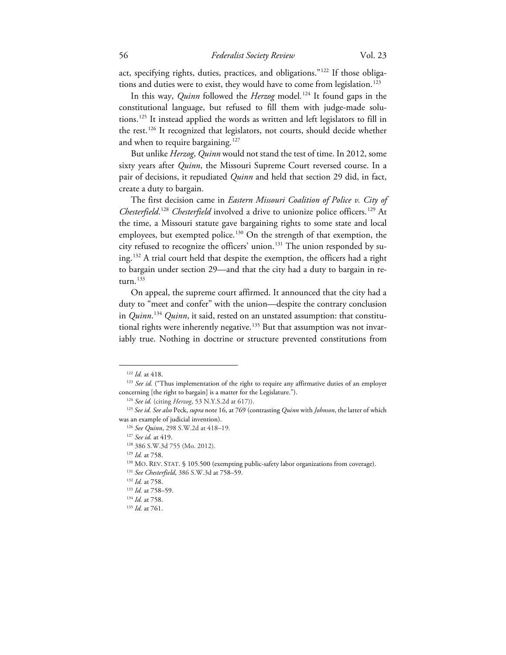act, specifying rights, duties, practices, and obligations."[122](#page-15-0) If those obligations and duties were to exist, they would have to come from legislation.<sup>123</sup>

In this way, *Quinn* followed the *Herzog* model*.* [124](#page-15-2) It found gaps in the constitutional language, but refused to fill them with judge-made solutions.[125](#page-15-3) It instead applied the words as written and left legislators to fill in the rest.[126](#page-15-4) It recognized that legislators, not courts, should decide whether and when to require bargaining.<sup>[127](#page-15-5)</sup>

But unlike *Herzog*, *Quinn* would not stand the test of time. In 2012, some sixty years after *Quinn*, the Missouri Supreme Court reversed course. In a pair of decisions, it repudiated *Quinn* and held that section 29 did, in fact, create a duty to bargain.

The first decision came in *Eastern Missouri Coalition of Police v. City of Chesterfield*. [128](#page-15-6) *Chesterfield* involved a drive to unionize police officers.[129](#page-15-7) At the time, a Missouri statute gave bargaining rights to some state and local employees, but exempted police.<sup>[130](#page-15-8)</sup> On the strength of that exemption, the city refused to recognize the officers' union.[131](#page-15-9) The union responded by suing. [132](#page-15-10) A trial court held that despite the exemption, the officers had a right to bargain under section 29—and that the city had a duty to bargain in re-turn.<sup>[133](#page-15-11)</sup>

On appeal, the supreme court affirmed. It announced that the city had a duty to "meet and confer" with the union—despite the contrary conclusion in *Quinn*. [134](#page-15-12) *Quinn*, it said, rested on an unstated assumption: that constitu-tional rights were inherently negative.<sup>[135](#page-15-13)</sup> But that assumption was not invariably true. Nothing in doctrine or structure prevented constitutions from

<span id="page-15-1"></span><span id="page-15-0"></span><sup>&</sup>lt;sup>122</sup> *Id.* at 418.<br><sup>123</sup> *See id.* ("Thus implementation of the right to require any affirmative duties of an employer concerning [the right to bargain] is a matter for the Legislature.").

<span id="page-15-6"></span><span id="page-15-5"></span><span id="page-15-4"></span><span id="page-15-3"></span><span id="page-15-2"></span><sup>124</sup> *See id.* (citing *Herzog*, 53 N.Y.S.2d at 617)). 125 *See id. See also* Peck, *supra* note 16, at 769 (contrasting *Quinn* with *Johnson*, the latter of which was an example of judicial invention). 126 *See Quinn*, 298 S.W.2d at 418–19.

<sup>127</sup> *See id.* at 419.

<sup>128</sup> 386 S.W.3d 755 (Mo. 2012). 129 *Id.* at 758.

<span id="page-15-8"></span><span id="page-15-7"></span><sup>130</sup> MO. REV. STAT. § 105.500 (exempting public-safety labor organizations from coverage).

<span id="page-15-9"></span><sup>131</sup> *See Chesterfield*, 386 S.W.3d at 758–59.

<sup>132</sup> *Id.* at 758.

<span id="page-15-10"></span><sup>133</sup> *Id.* at 758–59.

<sup>134</sup> *Id.* at 758.

<span id="page-15-13"></span><span id="page-15-12"></span><span id="page-15-11"></span><sup>135</sup> *Id.* at 761.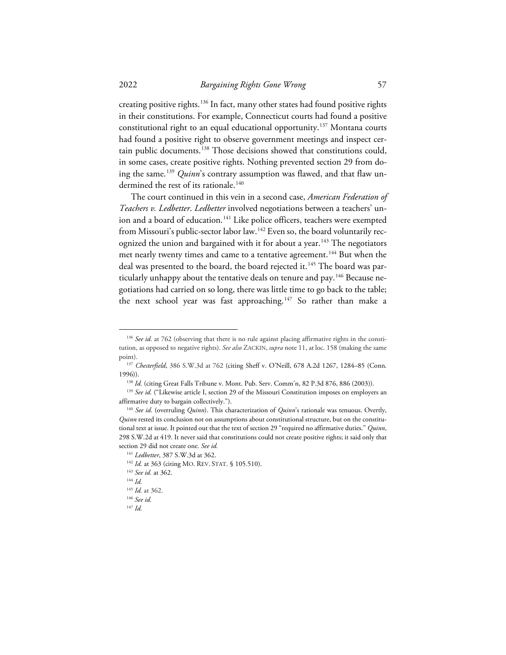creating positive rights. [136](#page-16-0) In fact, many other states had found positive rights in their constitutions. For example, Connecticut courts had found a positive constitutional right to an equal educational opportunity.[137](#page-16-1) Montana courts had found a positive right to observe government meetings and inspect cer-tain public documents.<sup>[138](#page-16-2)</sup> Those decisions showed that constitutions could, in some cases, create positive rights. Nothing prevented section 29 from doing the same. [139](#page-16-3) *Quinn*'s contrary assumption was flawed, and that flaw undermined the rest of its rationale. [140](#page-16-4)

The court continued in this vein in a second case, *American Federation of Teachers v. Ledbetter*. *Ledbetter* involved negotiations between a teachers' un-ion and a board of education.<sup>[141](#page-16-5)</sup> Like police officers, teachers were exempted from Missouri's public-sector labor law.<sup>[142](#page-16-6)</sup> Even so, the board voluntarily rec-ognized the union and bargained with it for about a year.<sup>[143](#page-16-7)</sup> The negotiators met nearly twenty times and came to a tentative agreement.<sup>[144](#page-16-8)</sup> But when the deal was presented to the board, the board rejected it.<sup>[145](#page-16-9)</sup> The board was par-ticularly unhappy about the tentative deals on tenure and pay.<sup>[146](#page-16-10)</sup> Because negotiations had carried on so long, there was little time to go back to the table; the next school year was fast approaching.<sup>[147](#page-16-11)</sup> So rather than make a

<span id="page-16-0"></span><sup>&</sup>lt;sup>136</sup> See id. at 762 (observing that there is no rule against placing affirmative rights in the constitution, as opposed to negative rights). *See also* ZACKIN, *supra* note 11, at loc. 158 (making the same point). 137 *Chesterfield*, 386 S.W.3d at 762 (citing Sheff v. O'Neill, 678 A.2d 1267, 1284–85 (Conn.

<span id="page-16-2"></span><span id="page-16-1"></span><sup>1996)). 138</sup> *Id.* (citing Great Falls Tribune v. Mont. Pub. Serv. Comm'n, 82 P.3d 876, 886 (2003)). 139 *See id.* ("Likewise article I, section 29 of the Missouri Constitution imposes on employers an affirmative duty to bargain collectively."). 140 *See id.* (overruling *Quinn*). This characterization of *Quinn*'s rationale was tenuous. Overtly,

<span id="page-16-5"></span><span id="page-16-4"></span><span id="page-16-3"></span>*Quinn* rested its conclusion not on assumptions about constitutional structure, but on the constitutional text at issue. It pointed out that the text of section 29 "required no affirmative duties." *Quinn*, 298 S.W.2d at 419. It never said that constitutions could not create positive rights; it said only that section 29 did not create one. *See id.*

<sup>1&</sup>lt;sup>41</sup> *Ledbetter*, 387 S.W.3d at 362.<br><sup>142</sup> *Id.* at 363 (citing MO. REV. STAT. § 105.510). 143 *See id.* at 362.

<span id="page-16-8"></span><span id="page-16-7"></span><span id="page-16-6"></span>

<sup>144</sup> *Id.*

<span id="page-16-9"></span><sup>145</sup> *Id.* at 362.

<sup>146</sup> *See id.*

<span id="page-16-11"></span><span id="page-16-10"></span><sup>147</sup> *Id.*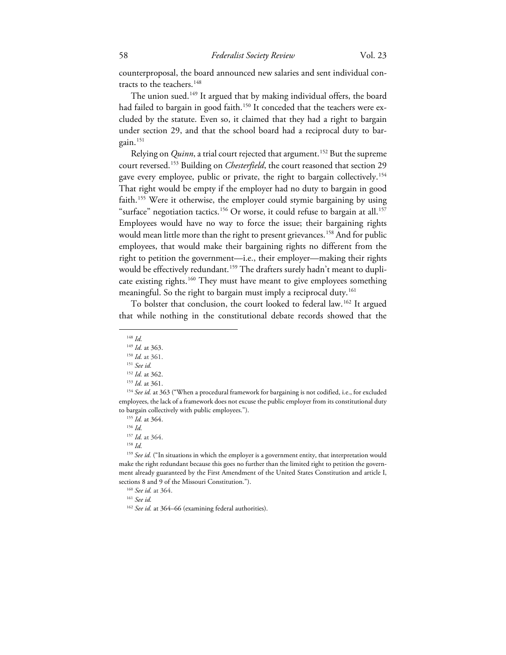counterproposal, the board announced new salaries and sent individual con-tracts to the teachers.<sup>[148](#page-17-0)</sup>

The union sued.<sup>149</sup> It argued that by making individual offers, the board had failed to bargain in good faith.<sup>[150](#page-17-2)</sup> It conceded that the teachers were excluded by the statute. Even so, it claimed that they had a right to bargain under section 29, and that the school board had a reciprocal duty to bargain. $151$ 

Relying on *Quinn*, a trial court rejected that argument.<sup>[152](#page-17-4)</sup> But the supreme court reversed.[153](#page-17-5) Building on *Chesterfield*, the court reasoned that section 29 gave every employee, public or private, the right to bargain collectively.<sup>[154](#page-17-6)</sup> That right would be empty if the employer had no duty to bargain in good faith.<sup>[155](#page-17-7)</sup> Were it otherwise, the employer could stymie bargaining by using "surface" negotiation tactics. $156$  Or worse, it could refuse to bargain at all. $157$ Employees would have no way to force the issue; their bargaining rights would mean little more than the right to present grievances.<sup>[158](#page-17-10)</sup> And for public employees, that would make their bargaining rights no different from the right to petition the government—i.e., their employer—making their rights would be effectively redundant.<sup>[159](#page-17-11)</sup> The drafters surely hadn't meant to duplicate existing rights. [160](#page-17-12) They must have meant to give employees something meaningful. So the right to bargain must imply a reciprocal duty.<sup>[161](#page-17-13)</sup>

<span id="page-17-0"></span>To bolster that conclusion, the court looked to federal law.[162](#page-17-14) It argued that while nothing in the constitutional debate records showed that the

<span id="page-17-12"></span><span id="page-17-11"></span><span id="page-17-10"></span><span id="page-17-9"></span><span id="page-17-8"></span><sup>159</sup> See id. ("In situations in which the employer is a government entity, that interpretation would make the right redundant because this goes no further than the limited right to petition the government already guaranteed by the First Amendment of the United States Constitution and article I, sections 8 and 9 of the Missouri Constitution.").

<span id="page-17-13"></span><sup>160</sup> *See id.* at 364.

<sup>161</sup> *See id.*

<span id="page-17-1"></span><sup>148</sup> *Id.*

<sup>&</sup>lt;sup>149</sup> *Id.* at 363.<br><sup>150</sup> *Id.* at 361.

<sup>151</sup> *See id.*

<sup>&</sup>lt;sup>152</sup> *Id.* at 362.<br><sup>153</sup> *Id.* at 361.

<span id="page-17-7"></span><span id="page-17-6"></span><span id="page-17-5"></span><span id="page-17-4"></span><span id="page-17-3"></span><span id="page-17-2"></span><sup>&</sup>lt;sup>154</sup> See id. at 363 ("When a procedural framework for bargaining is not codified, i.e., for excluded employees, the lack of a framework does not excuse the public employer from its constitutional duty to bargain collectively with public employees."). 155 *Id.* at 364. 156 *Id.*

<sup>157</sup> *Id.* at 364.

<sup>158</sup> *Id.*

<span id="page-17-14"></span><sup>&</sup>lt;sup>162</sup> See id. at 364–66 (examining federal authorities).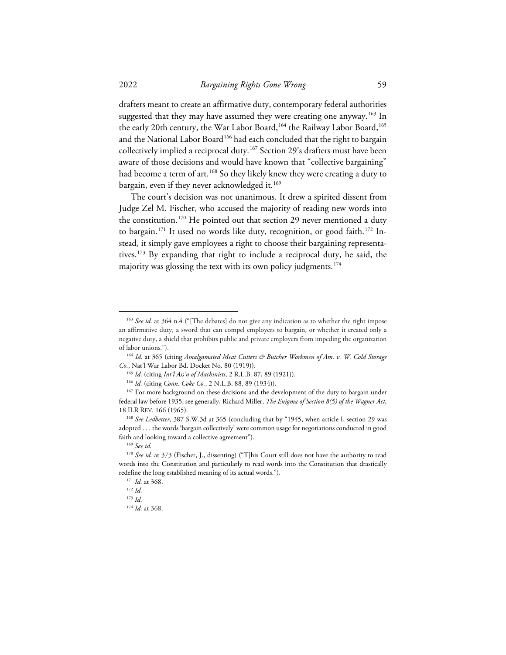drafters meant to create an affirmative duty, contemporary federal authorities suggested that they may have assumed they were creating one anyway. [163](#page-18-0) In the early 20th century, the War Labor Board,<sup>[164](#page-18-1)</sup> the Railway Labor Board,<sup>[165](#page-18-2)</sup> and the National Labor Board<sup>[166](#page-18-3)</sup> had each concluded that the right to bargain collectively implied a reciprocal duty.<sup>[167](#page-18-4)</sup> Section 29's drafters must have been aware of those decisions and would have known that "collective bargaining" had become a term of art.<sup>[168](#page-18-5)</sup> So they likely knew they were creating a duty to bargain, even if they never acknowledged it.<sup>[169](#page-18-6)</sup>

The court's decision was not unanimous. It drew a spirited dissent from Judge Zel M. Fischer, who accused the majority of reading new words into the constitution.<sup>[170](#page-18-7)</sup> He pointed out that section 29 never mentioned a duty to bargain.<sup>[171](#page-18-8)</sup> It used no words like duty, recognition, or good faith.<sup>[172](#page-18-9)</sup> Instead, it simply gave employees a right to choose their bargaining representatives.[173](#page-18-10) By expanding that right to include a reciprocal duty, he said, the majority was glossing the text with its own policy judgments.<sup>[174](#page-18-11)</sup>

<span id="page-18-0"></span><sup>&</sup>lt;sup>163</sup> See id. at 364 n.4 ("[The debates] do not give any indication as to whether the right impose an affirmative duty, a sword that can compel employers to bargain, or whether it created only a negative duty, a shield that prohibits public and private employers from impeding the organization of labor unions."). 164 *Id.* at 365 (citing *Amalgamated Meat Cutters & Butcher Workmen of Am. v. W. Cold Storage* 

<span id="page-18-1"></span>*Co.*, Nat'l War Labor Bd. Docket No. 80 (1919)).

<sup>165</sup> *Id.* (citing *Int'l Ass'n of Machinists*, 2 R.L.B. 87, 89 (1921)).

<sup>166</sup> *Id.* (citing *Conn. Coke Co.*, 2 N.L.B. 88, 89 (1934)).

<span id="page-18-4"></span><span id="page-18-3"></span><span id="page-18-2"></span><sup>&</sup>lt;sup>167</sup> For more background on these decisions and the development of the duty to bargain under federal law before 1935, see generally, Richard Miller, *The Enigma of Section 8(5) of the Wagner Act*, 18 ILR REV. 166 (1965).

<span id="page-18-5"></span><sup>&</sup>lt;sup>168</sup> See Ledbetter, 387 S.W.3d at 365 (concluding that by "1945, when article I, section 29 was adopted . . . the words 'bargain collectively' were common usage for negotiations conducted in good faith and looking toward a collective agreement").

<sup>169</sup> *See id.*

<span id="page-18-10"></span><span id="page-18-9"></span><span id="page-18-8"></span><span id="page-18-7"></span><span id="page-18-6"></span><sup>&</sup>lt;sup>170</sup> See id. at 373 (Fischer, J., dissenting) ("T]his Court still does not have the authority to read words into the Constitution and particularly to read words into the Constitution that drastically redefine the long established meaning of its actual words."). 171 *Id.* at 368. 172 *Id.*

<sup>173</sup> *Id.*

<span id="page-18-11"></span><sup>174</sup> *Id.* at 368.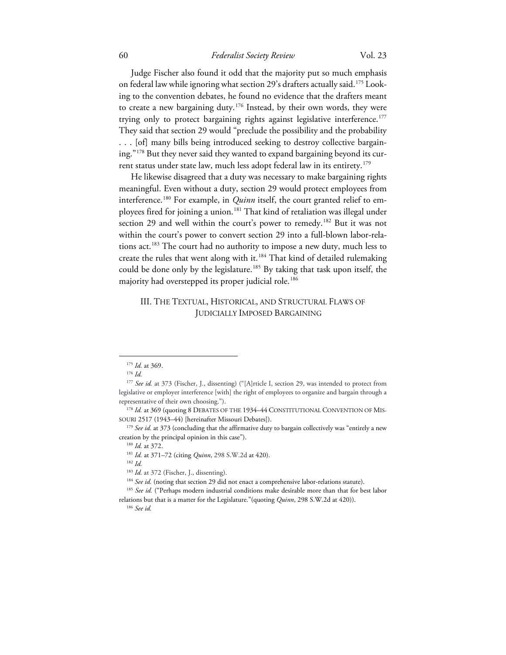# 60 *Federalist Society Review* Vol. 23

Judge Fischer also found it odd that the majority put so much emphasis on federal law while ignoring what section 29's drafters actually said.<sup>175</sup> Looking to the convention debates, he found no evidence that the drafters meant to create a new bargaining duty.<sup>[176](#page-19-1)</sup> Instead, by their own words, they were trying only to protect bargaining rights against legislative interference.<sup>[177](#page-19-2)</sup> They said that section 29 would "preclude the possibility and the probability . . . [of] many bills being introduced seeking to destroy collective bargaining."[178](#page-19-3) But they never said they wanted to expand bargaining beyond its current status under state law, much less adopt federal law in its entirety. [179](#page-19-4)

He likewise disagreed that a duty was necessary to make bargaining rights meaningful. Even without a duty, section 29 would protect employees from interference.<sup>[180](#page-19-5)</sup> For example, in *Quinn* itself, the court granted relief to employees fired for joining a union.[181](#page-19-6) That kind of retaliation was illegal under section 29 and well within the court's power to remedy.<sup>[182](#page-19-7)</sup> But it was not within the court's power to convert section 29 into a full-blown labor-relations act.<sup>183</sup> The court had no authority to impose a new duty, much less to create the rules that went along with it. [184](#page-19-9) That kind of detailed rulemaking could be done only by the legislature.<sup>[185](#page-19-10)</sup> By taking that task upon itself, the majority had overstepped its proper judicial role.<sup>[186](#page-19-11)</sup>

# III. THE TEXTUAL, HISTORICAL, AND STRUCTURAL FLAWS OF JUDICIALLY IMPOSED BARGAINING

<sup>175</sup> *Id.* at 369. 176 *Id.*

<span id="page-19-2"></span><span id="page-19-1"></span><span id="page-19-0"></span><sup>&</sup>lt;sup>177</sup> See id. at 373 (Fischer, J., dissenting) ("[A]rticle I, section 29, was intended to protect from legislative or employer interference [with] the right of employees to organize and bargain through a representative of their own choosing.").

<span id="page-19-3"></span><sup>&</sup>lt;sup>178</sup> Id. at 369 (quoting 8 DEBATES OF THE 1934-44 CONSTITUTIONAL CONVENTION OF MIS-SOURI 2517 (1943–44) [hereinafter Missouri Debates]).

<span id="page-19-6"></span><span id="page-19-5"></span><span id="page-19-4"></span><sup>&</sup>lt;sup>179</sup> See id. at 373 (concluding that the affirmative duty to bargain collectively was "entirely a new creation by the principal opinion in this case"). 180 *Id.* at 372.

<sup>181</sup> *Id.* at 371–72 (citing *Quinn*, 298 S.W.2d at 420).

<sup>182</sup> *Id.*

<sup>&</sup>lt;sup>183</sup> *Id.* at 372 (Fischer, J., dissenting).<br><sup>184</sup> See id. (noting that section 29 did not enact a comprehensive labor-relations statute).

<span id="page-19-11"></span><span id="page-19-10"></span><span id="page-19-9"></span><span id="page-19-8"></span><span id="page-19-7"></span><sup>&</sup>lt;sup>185</sup> See id. ("Perhaps modern industrial conditions make desirable more than that for best labor relations but that is a matter for the Legislature."(quoting *Quinn*, 298 S.W.2d at 420)). 186 *See id.*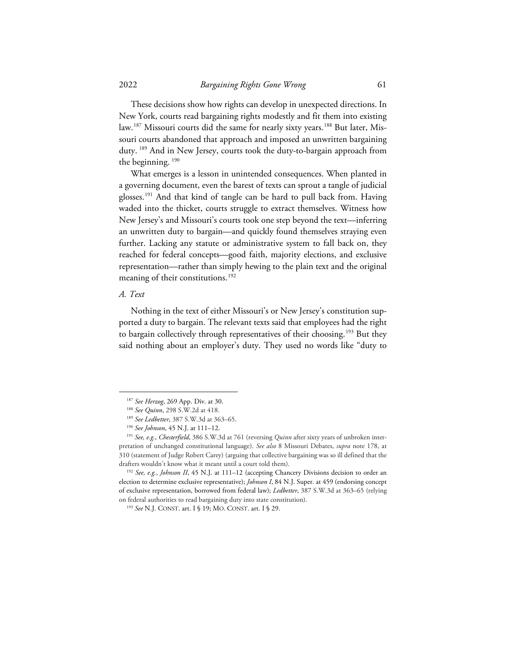These decisions show how rights can develop in unexpected directions. In New York, courts read bargaining rights modestly and fit them into existing law.<sup>[187](#page-20-0)</sup> Missouri courts did the same for nearly sixty years.<sup>[188](#page-20-1)</sup> But later, Missouri courts abandoned that approach and imposed an unwritten bargaining duty. [189](#page-20-2) And in New Jersey, courts took the duty-to-bargain approach from the beginning. [190](#page-20-3)

What emerges is a lesson in unintended consequences. When planted in a governing document, even the barest of texts can sprout a tangle of judicial glosses.<sup>[191](#page-20-4)</sup> And that kind of tangle can be hard to pull back from. Having waded into the thicket, courts struggle to extract themselves. Witness how New Jersey's and Missouri's courts took one step beyond the text—inferring an unwritten duty to bargain—and quickly found themselves straying even further. Lacking any statute or administrative system to fall back on, they reached for federal concepts—good faith, majority elections, and exclusive representation—rather than simply hewing to the plain text and the original meaning of their constitutions. [192](#page-20-5) 

#### *A. Text*

Nothing in the text of either Missouri's or New Jersey's constitution supported a duty to bargain. The relevant texts said that employees had the right to bargain collectively through representatives of their choosing.<sup>[193](#page-20-6)</sup> But they said nothing about an employer's duty. They used no words like "duty to

<sup>187</sup> *See Herzog*, 269 App. Div. at 30. 188 *See Quinn*, 298 S.W.2d at 418. 189 *See Ledbetter*, 387 S.W.3d at 363–65.

<span id="page-20-4"></span><span id="page-20-3"></span><span id="page-20-2"></span><span id="page-20-1"></span><span id="page-20-0"></span><sup>&</sup>lt;sup>190</sup> *See Johnson*, 45 N.J. at 111–12.<br><sup>191</sup> *See, e.g., Chesterfield*, 386 S.W.3d at 761 (reversing *Quinn* after sixty years of unbroken interpretation of unchanged constitutional language). *See also* 8 Missouri Debates, *supra* note 178, at 310 (statement of Judge Robert Carey) (arguing that collective bargaining was so ill defined that the drafters wouldn't know what it meant until a court told them). 192 *See, e.g.*, *Johnson II*, 45 N.J. at 111–12 (accepting Chancery Divisions decision to order an

<span id="page-20-6"></span><span id="page-20-5"></span>election to determine exclusive representative); *Johnson I*, 84 N.J. Super. at 459 (endorsing concept of exclusive representation, borrowed from federal law); *Ledbetter*, 387 S.W.3d at 363–65 (relying on federal authorities to read bargaining duty into state constitution). 193 *See* N.J. CONST. art. I § 19; MO. CONST. art. I § 29.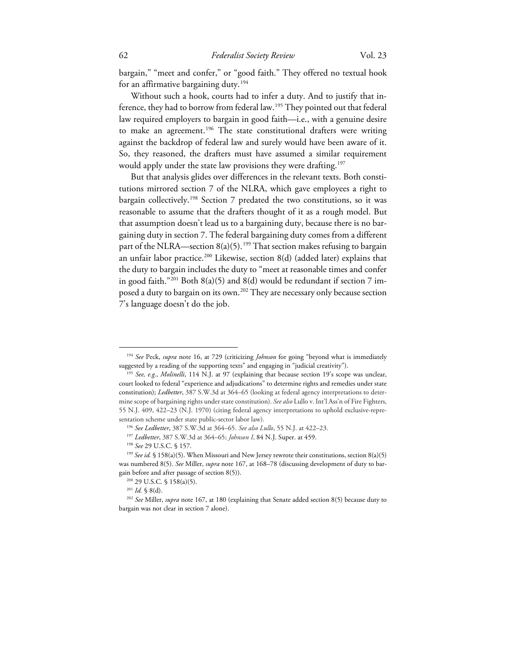bargain," "meet and confer," or "good faith." They offered no textual hook for an affirmative bargaining duty. [194](#page-21-0)

Without such a hook, courts had to infer a duty. And to justify that in-ference, they had to borrow from federal law.<sup>[195](#page-21-1)</sup> They pointed out that federal law required employers to bargain in good faith—i.e., with a genuine desire to make an agreement. [196](#page-21-2) The state constitutional drafters were writing against the backdrop of federal law and surely would have been aware of it. So, they reasoned, the drafters must have assumed a similar requirement would apply under the state law provisions they were drafting. [197](#page-21-3)

But that analysis glides over differences in the relevant texts. Both constitutions mirrored section 7 of the NLRA, which gave employees a right to bargain collectively.<sup>[198](#page-21-4)</sup> Section 7 predated the two constitutions, so it was reasonable to assume that the drafters thought of it as a rough model. But that assumption doesn't lead us to a bargaining duty, because there is no bargaining duty in section 7. The federal bargaining duty comes from a different part of the NLRA—section 8(a)(5). [199](#page-21-5) That section makes refusing to bargain an unfair labor practice.<sup>[200](#page-21-6)</sup> Likewise, section  $8(d)$  (added later) explains that the duty to bargain includes the duty to "meet at reasonable times and confer in good faith."<sup>[201](#page-21-7)</sup> Both  $8(a)(5)$  and  $8(d)$  would be redundant if section 7 imposed a duty to bargain on its own. [202](#page-21-8) They are necessary only because section 7's language doesn't do the job.

<span id="page-21-0"></span><sup>194</sup> *See* Peck, *supra* note 16, at 729 (criticizing *Johnson* for going "beyond what is immediately suggested by a reading of the supporting texts" and engaging in "judicial creativity"). 195 *See, e.g.*, *Molinelli*, 114 N.J. at 97 (explaining that because section 19's scope was unclear,

<span id="page-21-1"></span>court looked to federal "experience and adjudications" to determine rights and remedies under state constitution); *Ledbetter*, 387 S.W.3d at 364–65 (looking at federal agency interpretations to determine scope of bargaining rights under state constitution). *See also* Lullo v. Int'l Ass'n of Fire Fighters, 55 N.J. 409, 422–23 (N.J. 1970) (citing federal agency interpretations to uphold exclusive-repre-

<span id="page-21-3"></span><span id="page-21-2"></span>sentation scheme under state public-sector labor law).<br><sup>196</sup> See Ledbetter, 387 S.W.3d at 364–65. See also Lullo, 55 N.J. at 422–23.<br><sup>197</sup> Ledbetter, 387 S.W.3d at 364–65; *Johnson I*, 84 N.J. Super. at 459.<br><sup>198</sup> See 29 U

<span id="page-21-5"></span><span id="page-21-4"></span><sup>&</sup>lt;sup>199</sup> See id. § 158(a)(5). When Missouri and New Jersey rewrote their constitutions, section 8(a)(5) was numbered 8(5). *See* Miller, *supra* note 167, at 168–78 (discussing development of duty to bargain before and after passage of section 8(5)).

<sup>200</sup> 29 U.S.C. § 158(a)(5).

<span id="page-21-8"></span><span id="page-21-7"></span><span id="page-21-6"></span><sup>201</sup> *Id.* § 8(d). 202 *See* Miller, *supra* note 167, at 180 (explaining that Senate added section 8(5) because duty to bargain was not clear in section 7 alone).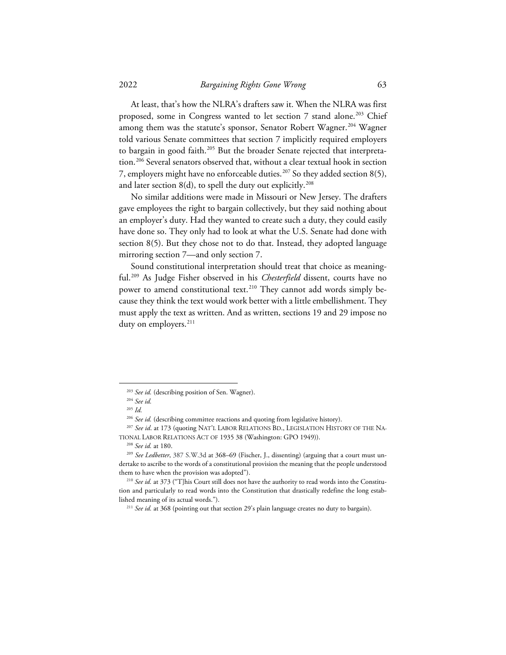At least, that's how the NLRA's drafters saw it. When the NLRA was first proposed, some in Congress wanted to let section 7 stand alone.<sup>203</sup> Chief among them was the statute's sponsor, Senator Robert Wagner.<sup>[204](#page-22-1)</sup> Wagner told various Senate committees that section 7 implicitly required employers to bargain in good faith.<sup>205</sup> But the broader Senate rejected that interpretation.[206](#page-22-3) Several senators observed that, without a clear textual hook in section 7, employers might have no enforceable duties. [207](#page-22-4) So they added section 8(5), and later section 8(d), to spell the duty out explicitly. $^{208}$  $^{208}$  $^{208}$ 

No similar additions were made in Missouri or New Jersey. The drafters gave employees the right to bargain collectively, but they said nothing about an employer's duty. Had they wanted to create such a duty, they could easily have done so. They only had to look at what the U.S. Senate had done with section 8(5). But they chose not to do that. Instead, they adopted language mirroring section 7—and only section 7.

Sound constitutional interpretation should treat that choice as meaningful.[209](#page-22-6) As Judge Fisher observed in his *Chesterfield* dissent, courts have no power to amend constitutional text.<sup>[210](#page-22-7)</sup> They cannot add words simply because they think the text would work better with a little embellishment. They must apply the text as written. And as written, sections 19 and 29 impose no duty on employers.<sup>[211](#page-22-8)</sup>

<sup>203</sup> *See id.* (describing position of Sen. Wagner). 204 *See id.*

<sup>205</sup> *Id.*

<span id="page-22-4"></span><span id="page-22-3"></span><span id="page-22-2"></span><span id="page-22-1"></span><span id="page-22-0"></span><sup>&</sup>lt;sup>206</sup> *See id.* (describing committee reactions and quoting from legislative history).<br><sup>207</sup> *See id.* at 173 (quoting NAT'L LABOR RELATIONS BD., LEGISLATION HISTORY OF THE NA-TIONAL LABOR RELATIONS ACT OF 1935 38 (Washington: GPO 1949)). 208 *See id.* at 180. 209 *See Ledbetter*, 387 S.W.3d at 368–69 (Fischer, J., dissenting) (arguing that a court must un-

<span id="page-22-6"></span><span id="page-22-5"></span>dertake to ascribe to the words of a constitutional provision the meaning that the people understood them to have when the provision was adopted"). 210 *See id.* at 373 ("T]his Court still does not have the authority to read words into the Constitu-

<span id="page-22-8"></span><span id="page-22-7"></span>tion and particularly to read words into the Constitution that drastically redefine the long established meaning of its actual words."). 211 *See id.* at 368 (pointing out that section 29's plain language creates no duty to bargain).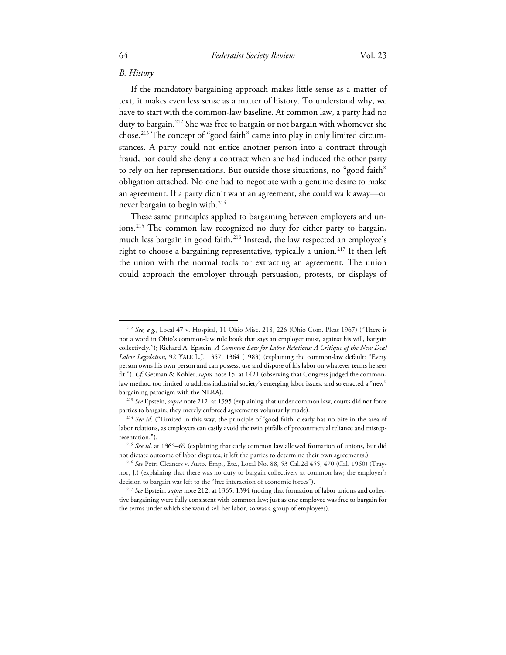# *B. History*

If the mandatory-bargaining approach makes little sense as a matter of text, it makes even less sense as a matter of history. To understand why, we have to start with the common-law baseline. At common law, a party had no duty to bargain.<sup>[212](#page-23-0)</sup> She was free to bargain or not bargain with whomever she chose.[213](#page-23-1) The concept of "good faith" came into play in only limited circumstances. A party could not entice another person into a contract through fraud, nor could she deny a contract when she had induced the other party to rely on her representations. But outside those situations, no "good faith" obligation attached. No one had to negotiate with a genuine desire to make an agreement. If a party didn't want an agreement, she could walk away—or never bargain to begin with.[214](#page-23-2)

These same principles applied to bargaining between employers and un-ions.<sup>[215](#page-23-3)</sup> The common law recognized no duty for either party to bargain, much less bargain in good faith.<sup>[216](#page-23-4)</sup> Instead, the law respected an employee's right to choose a bargaining representative, typically a union.<sup>[217](#page-23-5)</sup> It then left the union with the normal tools for extracting an agreement. The union could approach the employer through persuasion, protests, or displays of

<span id="page-23-0"></span><sup>212</sup> *See, e.g.*, Local 47 v. Hospital, 11 Ohio Misc. 218, 226 (Ohio Com. Pleas 1967) ("There is not a word in Ohio's common-law rule book that says an employer must, against his will, bargain collectively."); Richard A. Epstein, *A Common Law for Labor Relations: A Critique of the New Deal Labor Legislation*, 92 YALE L.J. 1357, 1364 (1983) (explaining the common-law default: "Every person owns his own person and can possess, use and dispose of his labor on whatever terms he sees fit."). *Cf.* Getman & Kohler, *supra* note 15, at 1421 (observing that Congress judged the commonlaw method too limited to address industrial society's emerging labor issues, and so enacted a "new" bargaining paradigm with the NLRA). 213 *See* Epstein, *supra* note 212, at 1395 (explaining that under common law, courts did not force

<span id="page-23-1"></span>parties to bargain; they merely enforced agreements voluntarily made). 214 *See id.* ("Limited in this way, the principle of 'good faith' clearly has no bite in the area of

<span id="page-23-2"></span>labor relations, as employers can easily avoid the twin pitfalls of precontractual reliance and misrepresentation."). 215 *See id*. at 1365–69 (explaining that early common law allowed formation of unions, but did

<span id="page-23-3"></span>not dictate outcome of labor disputes; it left the parties to determine their own agreements.) 216 *See* Petri Cleaners v. Auto. Emp., Etc., Local No. 88, 53 Cal.2d 455, 470 (Cal. 1960) (Tray-

<span id="page-23-4"></span>nor, J.) (explaining that there was no duty to bargain collectively at common law; the employer's decision to bargain was left to the "free interaction of economic forces").<br><sup>217</sup> *See* Epstein, *supra* note 212, at 1365, 1394 (noting that formation of labor unions and collec-

<span id="page-23-5"></span>tive bargaining were fully consistent with common law; just as one employee was free to bargain for the terms under which she would sell her labor, so was a group of employees).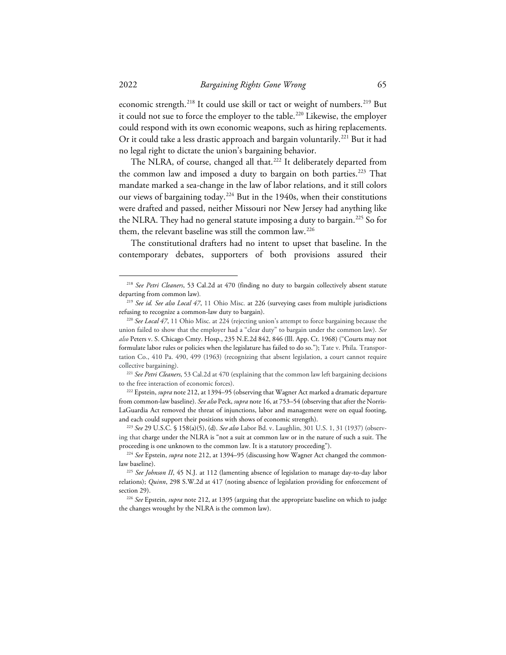economic strength.<sup>[218](#page-24-0)</sup> It could use skill or tact or weight of numbers.<sup>[219](#page-24-1)</sup> But it could not sue to force the employer to the table.<sup>[220](#page-24-2)</sup> Likewise, the employer could respond with its own economic weapons, such as hiring replacements. Or it could take a less drastic approach and bargain voluntarily.<sup>[221](#page-24-3)</sup> But it had no legal right to dictate the union's bargaining behavior.

The NLRA, of course, changed all that.<sup>[222](#page-24-4)</sup> It deliberately departed from the common law and imposed a duty to bargain on both parties. [223](#page-24-5) That mandate marked a sea-change in the law of labor relations, and it still colors our views of bargaining today.<sup>[224](#page-24-6)</sup> But in the 1940s, when their constitutions were drafted and passed, neither Missouri nor New Jersey had anything like the NLRA. They had no general statute imposing a duty to bargain.<sup>[225](#page-24-7)</sup> So for them, the relevant baseline was still the common law.<sup>[226](#page-24-8)</sup>

The constitutional drafters had no intent to upset that baseline. In the contemporary debates, supporters of both provisions assured their

<span id="page-24-3"></span><sup>221</sup> *See Petri Cleaners*, 53 Cal.2d at 470 (explaining that the common law left bargaining decisions to the free interaction of economic forces). 222 Epstein, *supra* note 212, at 1394–95 (observing that Wagner Act marked a dramatic departure

<span id="page-24-0"></span><sup>218</sup> *See Petri Cleaners*, 53 Cal.2d at 470 (finding no duty to bargain collectively absent statute departing from common law)*.*

<span id="page-24-1"></span><sup>219</sup> *See id. See also Local 47*, 11 Ohio Misc. at 226 (surveying cases from multiple jurisdictions refusing to recognize a common-law duty to bargain). 220 *See Local 47*, 11 Ohio Misc. at 224 (rejecting union's attempt to force bargaining because the

<span id="page-24-2"></span>union failed to show that the employer had a "clear duty" to bargain under the common law). *See also* Peters v. S. Chicago Cmty. Hosp., 235 N.E.2d 842, 846 (Ill. App. Ct. 1968) ("Courts may not formulate labor rules or policies when the legislature has failed to do so."); Tate v. Phila. Transportation Co., 410 Pa. 490, 499 (1963) (recognizing that absent legislation, a court cannot require collective bargaining).

<span id="page-24-4"></span>from common-law baseline). *See also* Peck, *supra* note 16, at 753–54 (observing that after the Norris-LaGuardia Act removed the threat of injunctions, labor and management were on equal footing, and each could support their positions with shows of economic strength). 223 *See* 29 U.S.C. § 158(a)(5), (d). *See also* Labor Bd. v. Laughlin, 301 U.S. 1, 31 (1937) (observ-

<span id="page-24-5"></span>ing that charge under the NLRA is "not a suit at common law or in the nature of such a suit. The proceeding is one unknown to the common law. It is a statutory proceeding").<br><sup>224</sup> *See* Epstein, *supra* note 212, at 1394–95 (discussing how Wagner Act changed the common-

<span id="page-24-6"></span>law baseline). 225 *See Johnson II*, 45 N.J. at 112 (lamenting absence of legislation to manage day-to-day labor

<span id="page-24-7"></span>relations); *Quinn*, 298 S.W.2d at 417 (noting absence of legislation providing for enforcement of section 29). 226 *See* Epstein, *supra* note 212, at 1395 (arguing that the appropriate baseline on which to judge

<span id="page-24-8"></span>the changes wrought by the NLRA is the common law).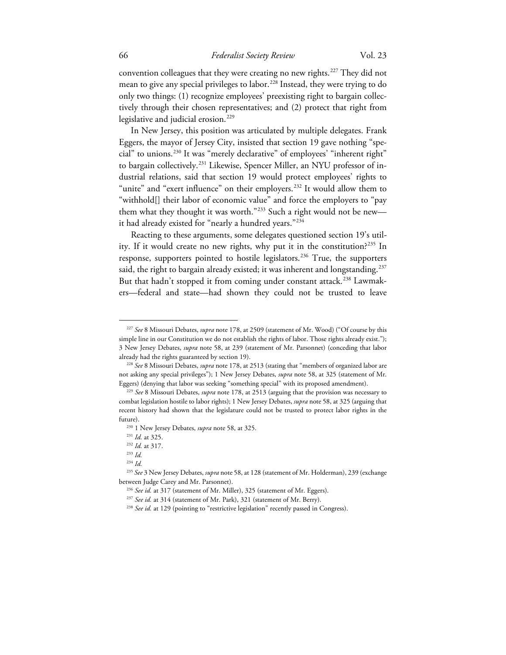convention colleagues that they were creating no new rights.<sup>[227](#page-25-0)</sup> They did not mean to give any special privileges to labor.<sup>[228](#page-25-1)</sup> Instead, they were trying to do only two things: (1) recognize employees' preexisting right to bargain collectively through their chosen representatives; and (2) protect that right from legislative and judicial erosion. [229](#page-25-2)

In New Jersey, this position was articulated by multiple delegates. Frank Eggers, the mayor of Jersey City, insisted that section 19 gave nothing "special" to unions.[230](#page-25-3) It was "merely declarative" of employees' "inherent right" to bargain collectively.<sup>[231](#page-25-4)</sup> Likewise, Spencer Miller, an NYU professor of industrial relations, said that section 19 would protect employees' rights to "unite" and "exert influence" on their employers.<sup>[232](#page-25-5)</sup> It would allow them to "withhold[] their labor of economic value" and force the employers to "pay them what they thought it was worth."<sup>[233](#page-25-6)</sup> Such a right would not be new it had already existed for "nearly a hundred years.["234](#page-25-7)

Reacting to these arguments, some delegates questioned section 19's util-ity. If it would create no new rights, why put it in the constitution?<sup>[235](#page-25-8)</sup> In response, supporters pointed to hostile legislators.<sup>[236](#page-25-9)</sup> True, the supporters said, the right to bargain already existed; it was inherent and longstanding.<sup>[237](#page-25-10)</sup> But that hadn't stopped it from coming under constant attack.<sup>[238](#page-25-11)</sup> Lawmakers—federal and state—had shown they could not be trusted to leave

<span id="page-25-0"></span><sup>227</sup> *See* 8 Missouri Debates, *supra* note 178, at 2509 (statement of Mr. Wood) ("Of course by this simple line in our Constitution we do not establish the rights of labor. Those rights already exist."); 3 New Jersey Debates, *supra* note 58, at 239 (statement of Mr. Parsonnet) (conceding that labor already had the rights guaranteed by section 19). 228 *See* 8 Missouri Debates, *supra* note 178, at 2513 (stating that "members of organized labor are

<span id="page-25-1"></span>not asking any special privileges"); 1 New Jersey Debates, *supra* note 58, at 325 (statement of Mr. Eggers) (denying that labor was seeking "something special" with its proposed amendment). 229 *See* 8 Missouri Debates, *supra* note 178, at 2513 (arguing that the provision was necessary to

<span id="page-25-3"></span><span id="page-25-2"></span>combat legislation hostile to labor rights); 1 New Jersey Debates, *supra* note 58, at 325 (arguing that recent history had shown that the legislature could not be trusted to protect labor rights in the future). 230 1 New Jersey Debates, *supra* note 58, at 325.

<sup>231</sup> *Id.* at 325.

<sup>232</sup> *Id.* at 317.

<sup>233</sup> *Id.*

<sup>234</sup> *Id.*

<span id="page-25-11"></span><span id="page-25-10"></span><span id="page-25-9"></span><span id="page-25-8"></span><span id="page-25-7"></span><span id="page-25-6"></span><span id="page-25-5"></span><span id="page-25-4"></span><sup>235</sup> *See* 3 New Jersey Debates, *supra* note 58, at 128 (statement of Mr. Holderman), 239 (exchange between Judge Carey and Mr. Parsonnet).

<sup>&</sup>lt;sup>236</sup> See id. at 317 (statement of Mr. Miller), 325 (statement of Mr. Eggers).<br><sup>237</sup> See id. at 314 (statement of Mr. Park), 321 (statement of Mr. Berry).<br><sup>238</sup> See id. at 129 (pointing to "restrictive legislation" recentl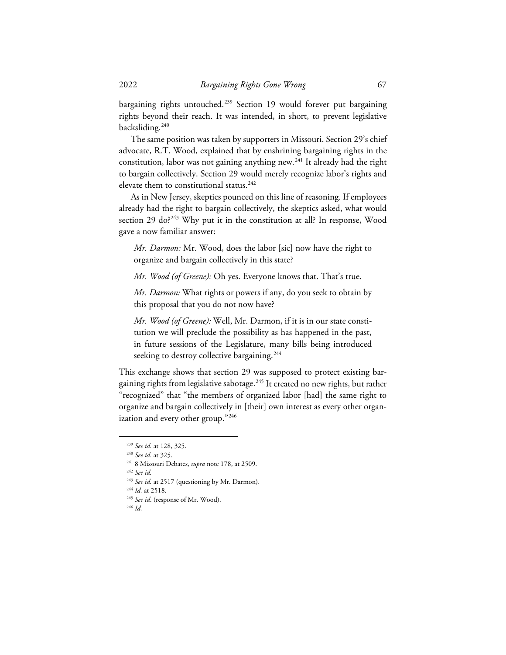bargaining rights untouched.<sup>[239](#page-26-0)</sup> Section 19 would forever put bargaining rights beyond their reach. It was intended, in short, to prevent legislative backsliding.<sup>[240](#page-26-1)</sup>

The same position was taken by supporters in Missouri. Section 29's chief advocate, R.T. Wood, explained that by enshrining bargaining rights in the constitution, labor was not gaining anything new.[241](#page-26-2) It already had the right to bargain collectively. Section 29 would merely recognize labor's rights and elevate them to constitutional status. [242](#page-26-3)

As in New Jersey, skeptics pounced on this line of reasoning. If employees already had the right to bargain collectively, the skeptics asked, what would section 29 do?<sup>[243](#page-26-4)</sup> Why put it in the constitution at all? In response, Wood gave a now familiar answer:

*Mr. Darmon:* Mr. Wood, does the labor [sic] now have the right to organize and bargain collectively in this state?

*Mr. Wood (of Greene):* Oh yes. Everyone knows that. That's true.

*Mr. Darmon:* What rights or powers if any, do you seek to obtain by this proposal that you do not now have?

*Mr. Wood (of Greene):* Well, Mr. Darmon, if it is in our state constitution we will preclude the possibility as has happened in the past, in future sessions of the Legislature, many bills being introduced seeking to destroy collective bargaining.<sup>[244](#page-26-5)</sup>

This exchange shows that section 29 was supposed to protect existing bargaining rights from legislative sabotage. [245](#page-26-6) It created no new rights, but rather "recognized" that "the members of organized labor [had] the same right to organize and bargain collectively in [their] own interest as every other organ-ization and every other group."<sup>[246](#page-26-7)</sup>

<span id="page-26-1"></span><span id="page-26-0"></span><sup>239</sup> *See id.* at 128, 325. 240 *See id.* at 325.

<span id="page-26-2"></span><sup>241</sup> 8 Missouri Debates, *supra* note 178, at 2509.

<span id="page-26-3"></span><sup>242</sup> *See id.*

<span id="page-26-4"></span><sup>243</sup> *See id.* at 2517 (questioning by Mr. Darmon). 244 *Id.* at 2518.

<span id="page-26-7"></span><span id="page-26-6"></span><span id="page-26-5"></span><sup>245</sup> *See id*. (response of Mr. Wood). 246 *Id.*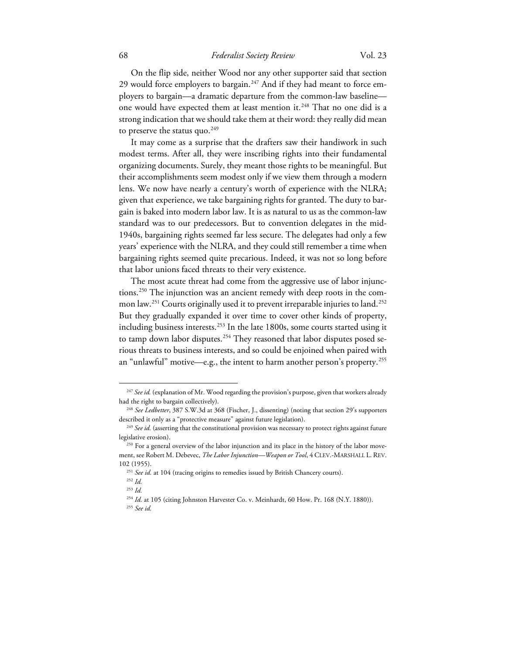### 68 *Federalist Society Review* Vol. 23

On the flip side, neither Wood nor any other supporter said that section 29 would force employers to bargain.<sup>[247](#page-27-0)</sup> And if they had meant to force employers to bargain—a dramatic departure from the common-law baseline— one would have expected them at least mention it.<sup>[248](#page-27-1)</sup> That no one did is a strong indication that we should take them at their word: they really did mean to preserve the status quo.<sup>[249](#page-27-2)</sup>

It may come as a surprise that the drafters saw their handiwork in such modest terms. After all, they were inscribing rights into their fundamental organizing documents. Surely, they meant those rights to be meaningful. But their accomplishments seem modest only if we view them through a modern lens. We now have nearly a century's worth of experience with the NLRA; given that experience, we take bargaining rights for granted. The duty to bargain is baked into modern labor law. It is as natural to us as the common-law standard was to our predecessors. But to convention delegates in the mid-1940s, bargaining rights seemed far less secure. The delegates had only a few years' experience with the NLRA, and they could still remember a time when bargaining rights seemed quite precarious. Indeed, it was not so long before that labor unions faced threats to their very existence.

The most acute threat had come from the aggressive use of labor injunctions.[250](#page-27-3) The injunction was an ancient remedy with deep roots in the com-mon law.<sup>[251](#page-27-4)</sup> Courts originally used it to prevent irreparable injuries to land.<sup>[252](#page-27-5)</sup> But they gradually expanded it over time to cover other kinds of property, including business interests.<sup>[253](#page-27-6)</sup> In the late 1800s, some courts started using it to tamp down labor disputes.<sup>[254](#page-27-7)</sup> They reasoned that labor disputes posed serious threats to business interests, and so could be enjoined when paired with an "unlawful" motive—e.g., the intent to harm another person's property. [255](#page-27-8)

<span id="page-27-0"></span><sup>&</sup>lt;sup>247</sup> See id. (explanation of Mr. Wood regarding the provision's purpose, given that workers already had the right to bargain collectively). 248 *See Ledbetter*, 387 S.W.3d at 368 (Fischer, J., dissenting) (noting that section 29's supporters

<span id="page-27-1"></span>described it only as a "protective measure" against future legislation).<br><sup>249</sup> *See id.* (asserting that the constitutional provision was necessary to protect rights against future

<span id="page-27-2"></span>legislative erosion).

<span id="page-27-3"></span><sup>&</sup>lt;sup>250</sup> For a general overview of the labor injunction and its place in the history of the labor movement, see Robert M. Debevec, *The Labor Injunction—Weapon or Tool*, 4 CLEV.-MARSHALL L. REV.

<span id="page-27-7"></span><span id="page-27-6"></span><span id="page-27-5"></span><span id="page-27-4"></span><sup>102 (1955). 251</sup> *See id.* at 104 (tracing origins to remedies issued by British Chancery courts). 252 *Id.*

<sup>253</sup> *Id.*

<span id="page-27-8"></span><sup>&</sup>lt;sup>254</sup> *Id.* at 105 (citing Johnston Harvester Co. v. Meinhardt, 60 How. Pr. 168 (N.Y. 1880)).

<sup>255</sup> *See id.*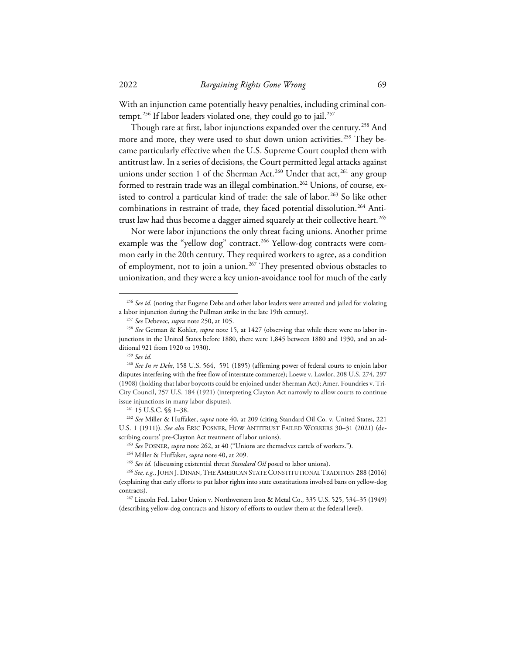With an injunction came potentially heavy penalties, including criminal con-tempt.<sup>[256](#page-28-0)</sup> If labor leaders violated one, they could go to jail.<sup>[257](#page-28-1)</sup>

Though rare at first, labor injunctions expanded over the century.<sup>[258](#page-28-2)</sup> And more and more, they were used to shut down union activities. [259](#page-28-3) They became particularly effective when the U.S. Supreme Court coupled them with antitrust law. In a series of decisions, the Court permitted legal attacks against unions under section 1 of the Sherman Act.<sup>[260](#page-28-4)</sup> Under that act,<sup>[261](#page-28-5)</sup> any group formed to restrain trade was an illegal combination.<sup>[262](#page-28-6)</sup> Unions, of course, ex-isted to control a particular kind of trade: the sale of labor.<sup>[263](#page-28-7)</sup> So like other combinations in restraint of trade, they faced potential dissolution.<sup>[264](#page-28-8)</sup> Anti-trust law had thus become a dagger aimed squarely at their collective heart.<sup>[265](#page-28-9)</sup>

Nor were labor injunctions the only threat facing unions. Another prime example was the "yellow dog" contract.<sup>[266](#page-28-10)</sup> Yellow-dog contracts were common early in the 20th century. They required workers to agree, as a condition of employment, not to join a union.<sup>[267](#page-28-11)</sup> They presented obvious obstacles to unionization, and they were a key union-avoidance tool for much of the early

<span id="page-28-0"></span><sup>&</sup>lt;sup>256</sup> See id. (noting that Eugene Debs and other labor leaders were arrested and jailed for violating a labor injunction during the Pullman strike in the late 19th century).<br><sup>257</sup> See Debevec, *supra* note 250, at 105.<br><sup>258</sup> See Getman & Kohler, *supra* note 15, at 1427 (observing that while there were no labor in-

<span id="page-28-2"></span><span id="page-28-1"></span>junctions in the United States before 1880, there were 1,845 between 1880 and 1930, and an additional 921 from 1920 to 1930). 259 *See id.*

<span id="page-28-4"></span><span id="page-28-3"></span><sup>260</sup> *See In re Debs*, 158 U.S. 564, 591 (1895) (affirming power of federal courts to enjoin labor disputes interfering with the free flow of interstate commerce); Loewe v. Lawlor, 208 U.S. 274, 297 (1908) (holding that labor boycotts could be enjoined under Sherman Act); Amer. Foundries v. Tri-City Council, 257 U.S. 184 (1921) (interpreting Clayton Act narrowly to allow courts to continue issue injunctions in many labor disputes). 261 15 U.S.C. §§ 1–38. 262 *See* Miller & Huffaker, *supra* note 40, at 209 (citing Standard Oil Co. v. United States, 221

<span id="page-28-7"></span><span id="page-28-6"></span><span id="page-28-5"></span>U.S. 1 (1911)). *See also* ERIC POSNER, HOW ANTITRUST FAILED WORKERS 30–31 (2021) (describing courts' pre-Clayton Act treatment of labor unions).

<sup>263</sup> *See* POSNER, *supra* note 262, at 40 ("Unions are themselves cartels of workers."). 264 Miller & Huffaker, *supra* note 40, at 209.

<sup>265</sup> *See id.* (discussing existential threat *Standard Oil* posed to labor unions).

<span id="page-28-10"></span><span id="page-28-9"></span><span id="page-28-8"></span><sup>266</sup> *See, e.g.*, JOHN J. DINAN, THE AMERICAN STATE CONSTITUTIONAL TRADITION 288 (2016) (explaining that early efforts to put labor rights into state constitutions involved bans on yellow-dog contracts). 267 Lincoln Fed. Labor Union v. Northwestern Iron & Metal Co., 335 U.S. 525, 534–35 (1949)

<span id="page-28-11"></span><sup>(</sup>describing yellow-dog contracts and history of efforts to outlaw them at the federal level).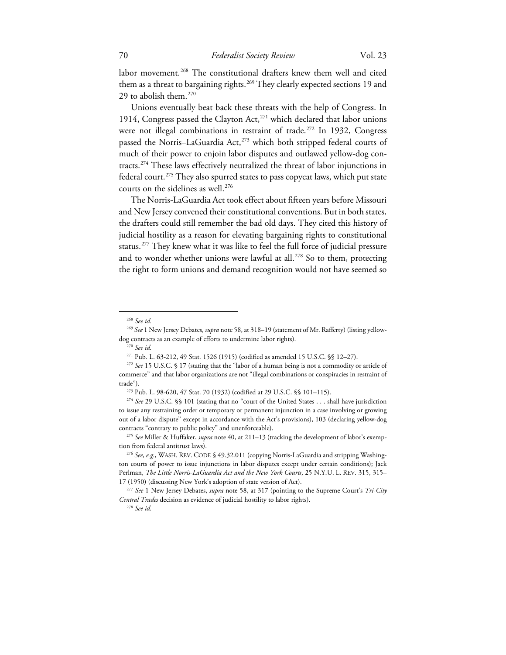labor movement.<sup>[268](#page-29-0)</sup> The constitutional drafters knew them well and cited them as a threat to bargaining rights.<sup>[269](#page-29-1)</sup> They clearly expected sections 19 and 29 to abolish them.<sup>[270](#page-29-2)</sup>

Unions eventually beat back these threats with the help of Congress. In 1914, Congress passed the Clayton Act, $^{271}$  $^{271}$  $^{271}$  which declared that labor unions were not illegal combinations in restraint of trade.<sup>[272](#page-29-4)</sup> In 1932, Congress passed the Norris–LaGuardia Act,<sup>[273](#page-29-5)</sup> which both stripped federal courts of much of their power to enjoin labor disputes and outlawed yellow-dog contracts. [274](#page-29-6) These laws effectively neutralized the threat of labor injunctions in federal court.<sup>275</sup> They also spurred states to pass copycat laws, which put state courts on the sidelines as well. [276](#page-29-8)

The Norris-LaGuardia Act took effect about fifteen years before Missouri and New Jersey convened their constitutional conventions. But in both states, the drafters could still remember the bad old days. They cited this history of judicial hostility as a reason for elevating bargaining rights to constitutional status.[277](#page-29-9) They knew what it was like to feel the full force of judicial pressure and to wonder whether unions were lawful at all. [278](#page-29-10) So to them, protecting the right to form unions and demand recognition would not have seemed so

<sup>268</sup> *See id.*

<span id="page-29-1"></span><span id="page-29-0"></span><sup>269</sup> *See* 1 New Jersey Debates, *supra* note 58, at 318–19 (statement of Mr. Rafferty) (listing yellowdog contracts as an example of efforts to undermine labor rights).

<sup>270</sup> *See id.*

<sup>271</sup> Pub. L. 63-212, 49 Stat. 1526 (1915) (codified as amended 15 U.S.C. §§ 12–27).

<span id="page-29-4"></span><span id="page-29-3"></span><span id="page-29-2"></span><sup>272</sup> *See* 15 U.S.C. § 17 (stating that the "labor of a human being is not a commodity or article of commerce" and that labor organizations are not "illegal combinations or conspiracies in restraint of trade"). 273 Pub. L. 98-620, 47 Stat. 70 (1932) (codified at 29 U.S.C. §§ 101–115). 274 *See* 29 U.S.C. §§ 101 (stating that no "court of the United States . . . shall have jurisdiction

<span id="page-29-6"></span><span id="page-29-5"></span>to issue any restraining order or temporary or permanent injunction in a case involving or growing out of a labor dispute" except in accordance with the Act's provisions), 103 (declaring yellow-dog contracts "contrary to public policy" and unenforceable). 275 *See* Miller & Huffaker, *supra* note 40, at 211–13 (tracking the development of labor's exemp-

<span id="page-29-7"></span>tion from federal antitrust laws).<br><sup>276</sup> *See, e.g.*, WASH. REV. CODE § 49.32.011 (copying Norris-LaGuardia and stripping Washing-

<span id="page-29-8"></span>ton courts of power to issue injunctions in labor disputes except under certain conditions); Jack Perlman, *The Little Norris-LaGuardia Act and the New York Courts*, 25 N.Y.U. L. REV. 315, 315–

<span id="page-29-10"></span><span id="page-29-9"></span><sup>17 (1950) (</sup>discussing New York's adoption of state version of Act). 277 *See* 1 New Jersey Debates, *supra* note 58, at 317 (pointing to the Supreme Court's *Tri-City Central Trades* decision as evidence of judicial hostility to labor rights). 278 *See id.*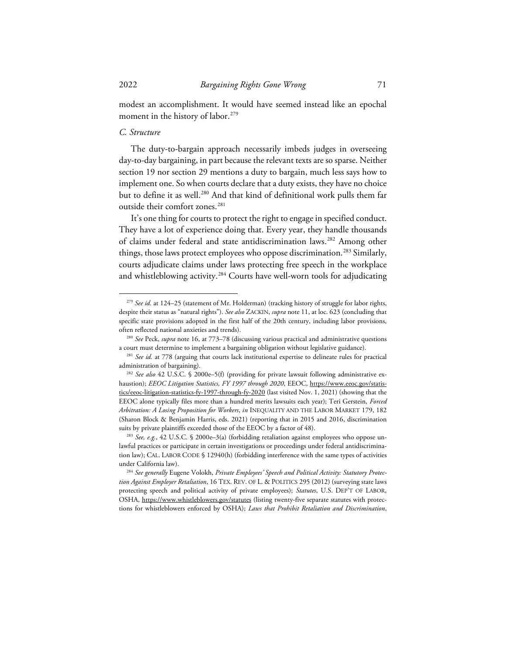modest an accomplishment. It would have seemed instead like an epochal moment in the history of labor.<sup>[279](#page-30-0)</sup>

### *C. Structure*

The duty-to-bargain approach necessarily imbeds judges in overseeing day-to-day bargaining, in part because the relevant texts are so sparse. Neither section 19 nor section 29 mentions a duty to bargain, much less says how to implement one. So when courts declare that a duty exists, they have no choice but to define it as well.<sup>[280](#page-30-1)</sup> And that kind of definitional work pulls them far outside their comfort zones. [281](#page-30-2)

It's one thing for courts to protect the right to engage in specified conduct. They have a lot of experience doing that. Every year, they handle thousands of claims under federal and state antidiscrimination laws.<sup>[282](#page-30-3)</sup> Among other things, those laws protect employees who oppose discrimination. [283](#page-30-4) Similarly, courts adjudicate claims under laws protecting free speech in the workplace and whistleblowing activity.<sup>[284](#page-30-5)</sup> Courts have well-worn tools for adjudicating

<span id="page-30-0"></span><sup>279</sup> *See id.* at 124–25 (statement of Mr. Holderman) (tracking history of struggle for labor rights, despite their status as "natural rights"). *See also* ZACKIN, *supra* note 11, at loc. 623 (concluding that specific state provisions adopted in the first half of the 20th century, including labor provisions, often reflected national anxieties and trends). 280 *See* Peck, *supra* note 16, at 773–78 (discussing various practical and administrative questions

<span id="page-30-1"></span>a court must determine to implement a bargaining obligation without legislative guidance). 281 *See id.* at 778 (arguing that courts lack institutional expertise to delineate rules for practical

<span id="page-30-2"></span>administration of bargaining). 282 *See also* 42 U.S.C. § 2000e–5(f) (providing for private lawsuit following administrative ex-

<span id="page-30-3"></span>haustion); *EEOC Litigation Statistics, FY 1997 through 2020*, EEOC, https://www.eeoc.gov/statistics/eeoc-litigation-statistics-fy-1997-through-fy-2020 (last visited Nov. 1, 2021) (showing that the EEOC alone typically files more than a hundred merits lawsuits each year); Teri Gerstein, *Forced Arbitration: A Losing Proposition for Workers*, *in* INEQUALITY AND THE LABOR MARKET 179, 182 (Sharon Block & Benjamin Harris, eds. 2021) (reporting that in 2015 and 2016, discrimination suits by private plaintiffs exceeded those of the EEOC by a factor of 48). 283 *See, e.g.*, 42 U.S.C. § 2000e–3(a) (forbidding retaliation against employees who oppose un-

<span id="page-30-4"></span>lawful practices or participate in certain investigations or proceedings under federal antidiscrimination law); CAL. LABOR CODE § 12940(h) (forbidding interference with the same types of activities

<span id="page-30-5"></span>under California law). 284 *See generally* Eugene Volokh, *Private Employees' Speech and Political Activity: Statutory Protection Against Employer Retaliation*, 16 TEX. REV. OF L. & POLITICS 295 (2012) (surveying state laws protecting speech and political activity of private employees); *Statutes*, U.S. DEP'T OF LABOR, OSHA, https://www.whistleblowers.gov/statutes (listing twenty-five separate statutes with protections for whistleblowers enforced by OSHA); *Laws that Prohibit Retaliation and Discrimination*,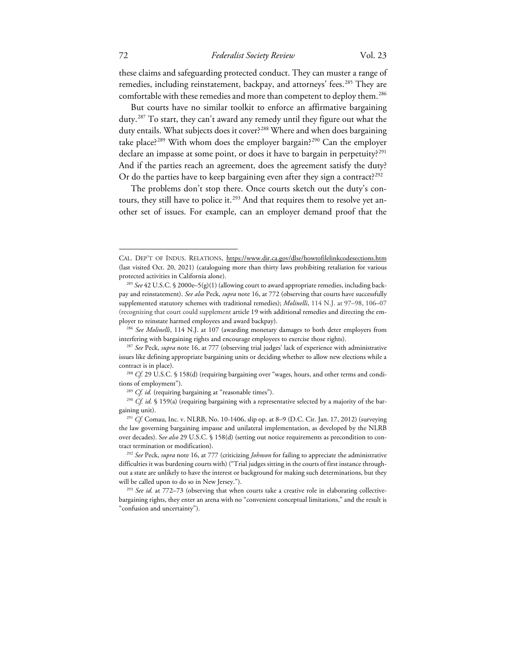these claims and safeguarding protected conduct. They can muster a range of remedies, including reinstatement, backpay, and attorneys' fees.<sup>[285](#page-31-0)</sup> They are comfortable with these remedies and more than competent to deploy them.<sup>[286](#page-31-1)</sup>

But courts have no similar toolkit to enforce an affirmative bargaining duty. [287](#page-31-2) To start, they can't award any remedy until they figure out what the duty entails. What subjects does it cover?<sup>[288](#page-31-3)</sup> Where and when does bargaining take place?[289](#page-31-4) With whom does the employer bargain?[290](#page-31-5) Can the employer declare an impasse at some point, or does it have to bargain in perpetuity?<sup>[291](#page-31-6)</sup> And if the parties reach an agreement, does the agreement satisfy the duty? Or do the parties have to keep bargaining even after they sign a contract?<sup>[292](#page-31-7)</sup>

The problems don't stop there. Once courts sketch out the duty's con-tours, they still have to police it.<sup>[293](#page-31-8)</sup> And that requires them to resolve yet another set of issues. For example, can an employer demand proof that the

CAL. DEP'T OF INDUS. RELATIONS, https://www.dir.ca.gov/dlse/howtofilelinkcodesections.htm (last visited Oct. 20, 2021) (cataloguing more than thirty laws prohibiting retaliation for various protected activities in California alone).

<span id="page-31-0"></span><sup>285</sup> *See* 42 U.S.C. § 2000e–5(g)(1) (allowing court to award appropriate remedies, including backpay and reinstatement). *See also* Peck, *supra* note 16, at 772 (observing that courts have successfully supplemented statutory schemes with traditional remedies); *Molinelli*, 114 N.J. at 97–98, 106–07 (recognizing that court could supplement article 19 with additional remedies and directing the employer to reinstate harmed employees and award backpay). 286 *See Molinelli*, 114 N.J. at 107 (awarding monetary damages to both deter employers from

<span id="page-31-1"></span>interfering with bargaining rights and encourage employees to exercise those rights).

<span id="page-31-2"></span><sup>287</sup> *See* Peck, *supra* note 16, at 777 (observing trial judges' lack of experience with administrative issues like defining appropriate bargaining units or deciding whether to allow new elections while a contract is in place). 288 *Cf.* 29 U.S.C. § 158(d) (requiring bargaining over "wages, hours, and other terms and condi-

<span id="page-31-3"></span>tions of employment").<br><sup>289</sup> *Cf. id.* (requiring bargaining at "reasonable times").<br><sup>290</sup> *Cf. id.* § 159(a) (requiring bargaining with a representative selected by a majority of the bar-

<span id="page-31-5"></span><span id="page-31-4"></span>gaining unit). 291 *Cf.* Comau, Inc. v. NLRB, No. 10-1406, slip op. at 8–9 (D.C. Cir. Jan. 17, 2012) (surveying

<span id="page-31-6"></span>the law governing bargaining impasse and unilateral implementation, as developed by the NLRB over decades). S*ee also* 29 U.S.C. § 158(d) (setting out notice requirements as precondition to contract termination or modification).

<span id="page-31-7"></span><sup>292</sup> *See* Peck, *supra* note 16, at 777 (criticizing *Johnson* for failing to appreciate the administrative difficulties it was burdening courts with) ("Trial judges sitting in the courts of first instance throughout a state are unlikely to have the interest or background for making such determinations, but they will be called upon to do so in New Jersey.").

<span id="page-31-8"></span><sup>&</sup>lt;sup>293</sup> See id. at 772–73 (observing that when courts take a creative role in elaborating collectivebargaining rights, they enter an arena with no "convenient conceptual limitations," and the result is "confusion and uncertainty").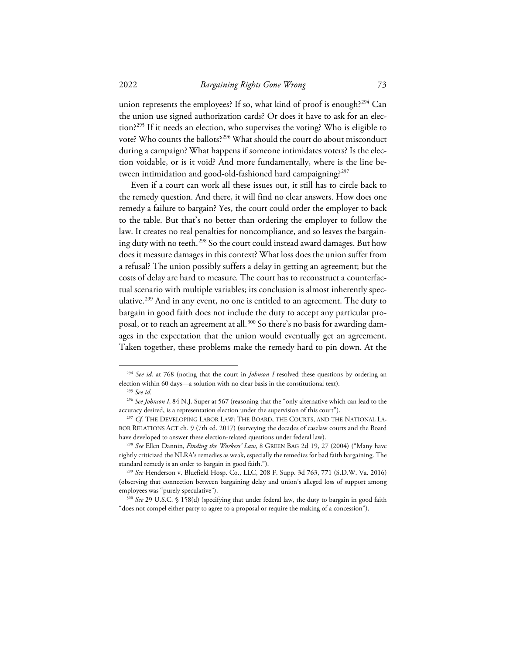union represents the employees? If so, what kind of proof is enough?<sup>[294](#page-32-0)</sup> Can the union use signed authorization cards? Or does it have to ask for an election?[295](#page-32-1) If it needs an election, who supervises the voting? Who is eligible to vote? Who counts the ballots?<sup>[296](#page-32-2)</sup> What should the court do about misconduct during a campaign? What happens if someone intimidates voters? Is the election voidable, or is it void? And more fundamentally, where is the line between intimidation and good-old-fashioned hard campaigning?[297](#page-32-3)

Even if a court can work all these issues out, it still has to circle back to the remedy question. And there, it will find no clear answers. How does one remedy a failure to bargain? Yes, the court could order the employer to back to the table. But that's no better than ordering the employer to follow the law. It creates no real penalties for noncompliance, and so leaves the bargain-ing duty with no teeth.<sup>[298](#page-32-4)</sup> So the court could instead award damages. But how does it measure damages in this context? What loss does the union suffer from a refusal? The union possibly suffers a delay in getting an agreement; but the costs of delay are hard to measure. The court has to reconstruct a counterfactual scenario with multiple variables; its conclusion is almost inherently speculative. [299](#page-32-5) And in any event, no one is entitled to an agreement. The duty to bargain in good faith does not include the duty to accept any particular proposal, or to reach an agreement at all. [300](#page-32-6) So there's no basis for awarding damages in the expectation that the union would eventually get an agreement. Taken together, these problems make the remedy hard to pin down. At the

<span id="page-32-0"></span><sup>294</sup> *See id.* at 768 (noting that the court in *Johnson I* resolved these questions by ordering an election within 60 days—a solution with no clear basis in the constitutional text). 295 *See id.*

<span id="page-32-2"></span><span id="page-32-1"></span><sup>&</sup>lt;sup>296</sup> See Johnson I, 84 N.J. Super at 567 (reasoning that the "only alternative which can lead to the accuracy desired, is a representation election under the supervision of this court"). 297 *Cf.* THE DEVELOPING LABOR LAW: THE BOARD, THE COURTS, AND THE NATIONAL LA-

<span id="page-32-3"></span>BOR RELATIONS ACT ch. 9 (7th ed. 2017) (surveying the decades of caselaw courts and the Board have developed to answer these election-related questions under federal law). 298 *See* Ellen Dannin, *Finding the Workers' Law*, 8 GREEN BAG 2d 19, 27 (2004) ("Many have

<span id="page-32-4"></span>rightly criticized the NLRA's remedies as weak, especially the remedies for bad faith bargaining. The standard remedy is an order to bargain in good faith."). 299 *See* Henderson v. Bluefield Hosp. Co., LLC, 208 F. Supp. 3d 763, 771 (S.D.W. Va. 2016)

<span id="page-32-5"></span><sup>(</sup>observing that connection between bargaining delay and union's alleged loss of support among employees was "purely speculative"). 300 *See* 29 U.S.C. § 158(d) (specifying that under federal law, the duty to bargain in good faith

<span id="page-32-6"></span><sup>&</sup>quot;does not compel either party to agree to a proposal or require the making of a concession").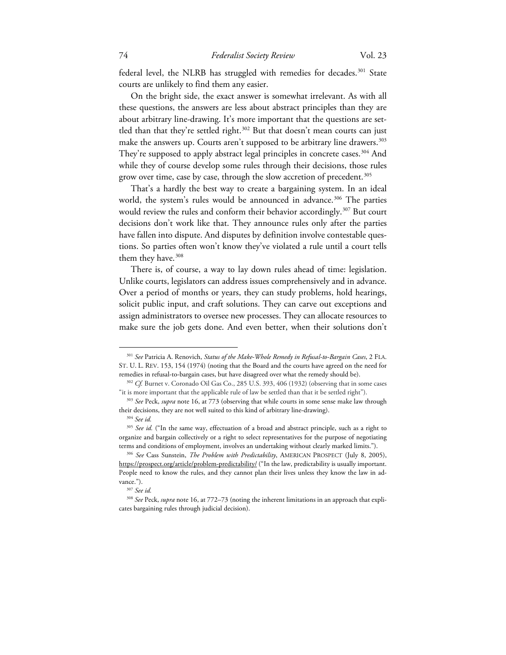federal level, the NLRB has struggled with remedies for decades.<sup>[301](#page-33-0)</sup> State courts are unlikely to find them any easier.

On the bright side, the exact answer is somewhat irrelevant. As with all these questions, the answers are less about abstract principles than they are about arbitrary line-drawing. It's more important that the questions are set-tled than that they're settled right.<sup>[302](#page-33-1)</sup> But that doesn't mean courts can just make the answers up. Courts aren't supposed to be arbitrary line drawers.<sup>[303](#page-33-2)</sup> They're supposed to apply abstract legal principles in concrete cases.<sup>[304](#page-33-3)</sup> And while they of course develop some rules through their decisions, those rules grow over time, case by case, through the slow accretion of precedent. [305](#page-33-4)

That's a hardly the best way to create a bargaining system. In an ideal world, the system's rules would be announced in advance.<sup>[306](#page-33-5)</sup> The parties would review the rules and conform their behavior accordingly.<sup>[307](#page-33-6)</sup> But court decisions don't work like that. They announce rules only after the parties have fallen into dispute. And disputes by definition involve contestable questions. So parties often won't know they've violated a rule until a court tells them they have. [308](#page-33-7)

There is, of course, a way to lay down rules ahead of time: legislation. Unlike courts, legislators can address issues comprehensively and in advance. Over a period of months or years, they can study problems, hold hearings, solicit public input, and craft solutions. They can carve out exceptions and assign administrators to oversee new processes. They can allocate resources to make sure the job gets done. And even better, when their solutions don't

<span id="page-33-0"></span><sup>301</sup> *See* Patricia A. Renovich, *Status of the Make-Whole Remedy in Refusal-to-Bargain Cases*, 2 FLA. ST. U. L. REV. 153, 154 (1974) (noting that the Board and the courts have agreed on the need for

<span id="page-33-1"></span>remedies in refusal-to-bargain cases, but have disagreed over what the remedy should be). 302 *Cf.* Burnet v. Coronado Oil Gas Co., 285 U.S. 393, 406 (1932) (observing that in some cases "it is more important that the applicable rule of law be settled than that it be settled right"). 303 *See* Peck, *supra* note 16, at 773 (observing that while courts in some sense make law through

<span id="page-33-2"></span>their decisions, they are not well suited to this kind of arbitrary line-drawing). 304 *See id.*

<span id="page-33-4"></span><span id="page-33-3"></span><sup>&</sup>lt;sup>305</sup> See id. ("In the same way, effectuation of a broad and abstract principle, such as a right to organize and bargain collectively or a right to select representatives for the purpose of negotiating terms and conditions of employment, involves an undertaking without clearly marked limits."). 306 *See* Cass Sunstein, *The Problem with Predictability*, AMERICAN PROSPECT (July 8, 2005),

<span id="page-33-5"></span>https://prospect.org/article/problem-predictability/ ("In the law, predictability is usually important. People need to know the rules, and they cannot plan their lives unless they know the law in advance.").<br><sup>307</sup> See id.

<span id="page-33-7"></span><span id="page-33-6"></span><sup>308</sup> *See* Peck, *supra* note 16, at 772–73 (noting the inherent limitations in an approach that explicates bargaining rules through judicial decision).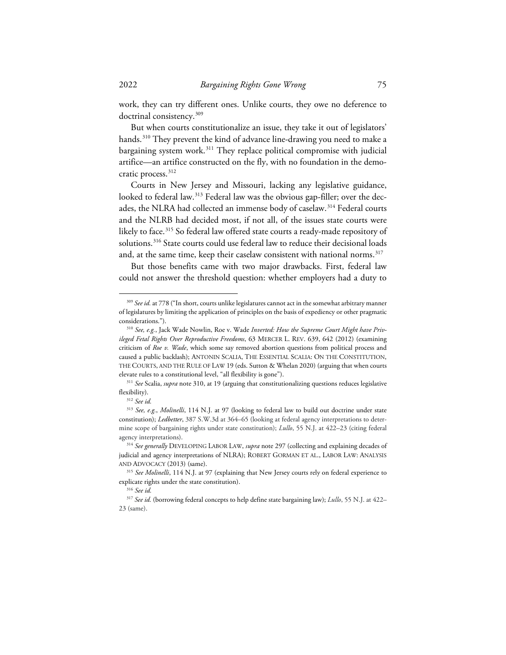work, they can try different ones. Unlike courts, they owe no deference to doctrinal consistency.[309](#page-34-0)

But when courts constitutionalize an issue, they take it out of legislators' hands.<sup>[310](#page-34-1)</sup> They prevent the kind of advance line-drawing you need to make a bargaining system work.<sup>[311](#page-34-2)</sup> They replace political compromise with judicial artifice—an artifice constructed on the fly, with no foundation in the democratic process. [312](#page-34-3)

Courts in New Jersey and Missouri, lacking any legislative guidance, looked to federal law.<sup>[313](#page-34-4)</sup> Federal law was the obvious gap-filler; over the dec-ades, the NLRA had collected an immense body of caselaw.<sup>[314](#page-34-5)</sup> Federal courts and the NLRB had decided most, if not all, of the issues state courts were likely to face.<sup>[315](#page-34-6)</sup> So federal law offered state courts a ready-made repository of solutions.<sup>316</sup> State courts could use federal law to reduce their decisional loads and, at the same time, keep their caselaw consistent with national norms.<sup>[317](#page-34-8)</sup>

But those benefits came with two major drawbacks. First, federal law could not answer the threshold question: whether employers had a duty to

<span id="page-34-0"></span><sup>309</sup> *See id.* at 778 ("In short, courts unlike legislatures cannot act in the somewhat arbitrary manner of legislatures by limiting the application of principles on the basis of expediency or other pragmatic considerations."). 310 *See, e.g.*, Jack Wade Nowlin, Roe v. Wade *Inverted: How the Supreme Court Might have Priv-*

<span id="page-34-1"></span>*ileged Fetal Rights Over Reproductive Freedoms*, 63 MERCER L. REV. 639, 642 (2012) (examining criticism of *Roe v. Wade*, which some say removed abortion questions from political process and caused a public backlash); ANTONIN SCALIA, THE ESSENTIAL SCALIA: ON THE CONSTITUTION, THE COURTS, AND THE RULE OF LAW 19 (eds. Sutton & Whelan 2020) (arguing that when courts elevate rules to a constitutional level, "all flexibility is gone").

<span id="page-34-2"></span><sup>311</sup> *See* Scalia, *supra* note 310, at 19 (arguing that constitutionalizing questions reduces legislative flexibility). 312 *See id.*

<span id="page-34-4"></span><span id="page-34-3"></span><sup>313</sup> *See, e.g.*, *Molinelli*, 114 N.J. at 97 (looking to federal law to build out doctrine under state constitution); *Ledbetter*, 387 S.W.3d at 364–65 (looking at federal agency interpretations to determine scope of bargaining rights under state constitution); *Lullo*, 55 N.J. at 422–23 (citing federal agency interpretations).

<span id="page-34-5"></span><sup>314</sup> *See generally* DEVELOPING LABOR LAW, *supra* note 297 (collecting and explaining decades of judicial and agency interpretations of NLRA); ROBERT GORMAN ET AL., LABOR LAW: ANALYSIS AND ADVOCACY (2013) (same).

<span id="page-34-6"></span><sup>315</sup> *See Molinelli*, 114 N.J. at 97 (explaining that New Jersey courts rely on federal experience to explicate rights under the state constitution). 316 *See id.*

<span id="page-34-8"></span><span id="page-34-7"></span><sup>317</sup> *See id.* (borrowing federal concepts to help define state bargaining law); *Lullo*, 55 N.J. at 422– 23 (same).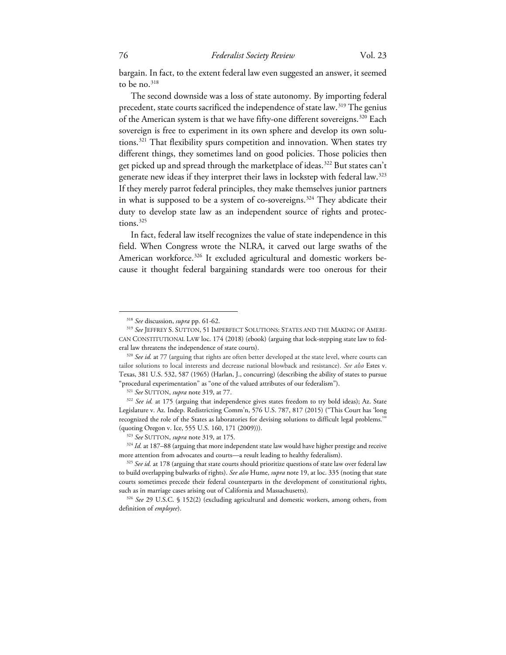bargain. In fact, to the extent federal law even suggested an answer, it seemed to be no.<sup>[318](#page-35-0)</sup>

The second downside was a loss of state autonomy. By importing federal precedent, state courts sacrificed the independence of state law.<sup>[319](#page-35-1)</sup> The genius of the American system is that we have fifty-one different sovereigns.<sup>[320](#page-35-2)</sup> Each sovereign is free to experiment in its own sphere and develop its own solutions.[321](#page-35-3) That flexibility spurs competition and innovation. When states try different things, they sometimes land on good policies. Those policies then get picked up and spread through the marketplace of ideas.<sup>[322](#page-35-4)</sup> But states can't generate new ideas if they interpret their laws in lockstep with federal law.[323](#page-35-5) If they merely parrot federal principles, they make themselves junior partners in what is supposed to be a system of co-sovereigns. [324](#page-35-6) They abdicate their duty to develop state law as an independent source of rights and protec- $tions.<sup>325</sup>$  $tions.<sup>325</sup>$  $tions.<sup>325</sup>$ 

In fact, federal law itself recognizes the value of state independence in this field. When Congress wrote the NLRA, it carved out large swaths of the American workforce.<sup>[326](#page-35-8)</sup> It excluded agricultural and domestic workers because it thought federal bargaining standards were too onerous for their

<sup>318</sup> *See* discussion, *supra* pp. 61-62.

<span id="page-35-1"></span><span id="page-35-0"></span><sup>319</sup> *See* JEFFREY S. SUTTON, 51 IMPERFECT SOLUTIONS: STATES AND THE MAKING OF AMERI-CAN CONSTITUTIONAL LAW loc. 174 (2018) (ebook) (arguing that lock-stepping state law to fed-

<span id="page-35-2"></span>eral law threatens the independence of state courts). 320 *See id.* at 77 (arguing that rights are often better developed at the state level, where courts can tailor solutions to local interests and decrease national blowback and resistance). *See also* Estes v. Texas, 381 U.S. 532, 587 (1965) (Harlan, J., concurring) (describing the ability of states to pursue "procedural experimentation" as "one of the valued attributes of our federalism"). 321 *See* SUTTON, *supra* note 319, at 77.

<span id="page-35-4"></span><span id="page-35-3"></span><sup>&</sup>lt;sup>322</sup> See id. at 175 (arguing that independence gives states freedom to try bold ideas); Az. State Legislature v. Az. Indep. Redistricting Comm'n, 576 U.S. 787, 817 (2015) ("This Court has 'long recognized the role of the States as laboratories for devising solutions to difficult legal problems.'" (quoting Oregon v. Ice, 555 U.S. 160, 171 (2009))). 323 *See* SUTTON, *supra* note 319, at 175.

<span id="page-35-6"></span><span id="page-35-5"></span><sup>324</sup> *Id.* at 187–88 (arguing that more independent state law would have higher prestige and receive more attention from advocates and courts—a result leading to healthy federalism). 325 *See id.* at 178 (arguing that state courts should prioritize questions of state law over federal law

<span id="page-35-7"></span>to build overlapping bulwarks of rights). *See also* Hume, *supra* note 19, at loc. 335 (noting that state courts sometimes precede their federal counterparts in the development of constitutional rights, such as in marriage cases arising out of California and Massachusetts). 326 *See* 29 U.S.C. § 152(2) (excluding agricultural and domestic workers, among others, from

<span id="page-35-8"></span>definition of *employee*).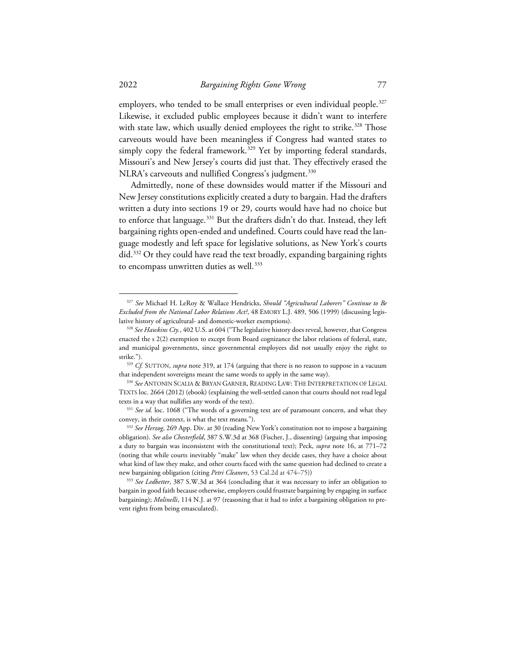employers, who tended to be small enterprises or even individual people.<sup>[327](#page-36-0)</sup> Likewise, it excluded public employees because it didn't want to interfere with state law, which usually denied employees the right to strike. [328](#page-36-1) Those carveouts would have been meaningless if Congress had wanted states to simply copy the federal framework.<sup>[329](#page-36-2)</sup> Yet by importing federal standards, Missouri's and New Jersey's courts did just that. They effectively erased the NLRA's carveouts and nullified Congress's judgment. [330](#page-36-3)

Admittedly, none of these downsides would matter if the Missouri and New Jersey constitutions explicitly created a duty to bargain. Had the drafters written a duty into sections 19 or 29, courts would have had no choice but to enforce that language.<sup>[331](#page-36-4)</sup> But the drafters didn't do that. Instead, they left bargaining rights open-ended and undefined. Courts could have read the language modestly and left space for legislative solutions, as New York's courts did.[332](#page-36-5) Or they could have read the text broadly, expanding bargaining rights to encompass unwritten duties as well.<sup>[333](#page-36-6)</sup>

<span id="page-36-0"></span><sup>327</sup> *See* Michael H. LeRoy & Wallace Hendricks, *Should "Agricultural Laborers" Continue to Be Excluded from the National Labor Relations Act?*, 48 EMORY L.J. 489, 506 (1999) (discussing legislative history of agricultural- and domestic-worker exemptions). 328 *See Hawkins Cty.*, 402 U.S. at 604 ("The legislative history does reveal, however, that Congress

<span id="page-36-1"></span>enacted the s 2(2) exemption to except from Board cognizance the labor relations of federal, state, and municipal governments, since governmental employees did not usually enjoy the right to strike.").

<span id="page-36-2"></span><sup>329</sup> *Cf.* SUTTON, *supra* note 319, at 174 (arguing that there is no reason to suppose in a vacuum that independent sovereigns meant the same words to apply in the same way). 330 *See* ANTONIN SCALIA & BRYAN GARNER, READING LAW: THE INTERPRETATION OF LEGAL

<span id="page-36-3"></span>TEXTS loc. 2664 (2012) (ebook) (explaining the well-settled canon that courts should not read legal texts in a way that nullifies any words of the text). 331 *See id.* loc. 1068 ("The words of a governing text are of paramount concern, and what they

<span id="page-36-4"></span>convey, in their context, is what the text means.").

<span id="page-36-5"></span><sup>332</sup> *See Herzog*, 269 App. Div. at 30 (reading New York's constitution not to impose a bargaining obligation). *See also Chesterfield*, 387 S.W.3d at 368 (Fischer, J., dissenting) (arguing that imposing a duty to bargain was inconsistent with the constitutional text); Peck, *supra* note 16, at 771–72 (noting that while courts inevitably "make" law when they decide cases, they have a choice about what kind of law they make, and other courts faced with the same question had declined to create a new bargaining obligation (citing *Petri Cleaners*, 53 Cal.2d at 474–75))

<span id="page-36-6"></span><sup>333</sup> *See Ledbetter*, 387 S.W.3d at 364 (concluding that it was necessary to infer an obligation to bargain in good faith because otherwise, employers could frustrate bargaining by engaging in surface bargaining); *Molinelli*, 114 N.J. at 97 (reasoning that it had to infer a bargaining obligation to prevent rights from being emasculated).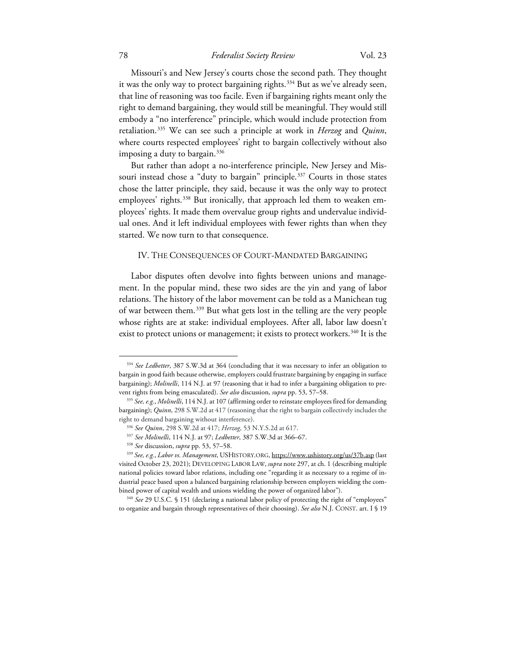### 78 *Federalist Society Review* Vol. 23

Missouri's and New Jersey's courts chose the second path. They thought it was the only way to protect bargaining rights. [334](#page-37-0) But as we've already seen, that line of reasoning was too facile. Even if bargaining rights meant only the right to demand bargaining, they would still be meaningful. They would still embody a "no interference" principle, which would include protection from retaliation. [335](#page-37-1) We can see such a principle at work in *Herzog* and *Quinn*, where courts respected employees' right to bargain collectively without also imposing a duty to bargain. $336$ 

But rather than adopt a no-interference principle, New Jersey and Mis-souri instead chose a "duty to bargain" principle.<sup>[337](#page-37-3)</sup> Courts in those states chose the latter principle, they said, because it was the only way to protect employees' rights.<sup>[338](#page-37-4)</sup> But ironically, that approach led them to weaken employees' rights. It made them overvalue group rights and undervalue individual ones. And it left individual employees with fewer rights than when they started. We now turn to that consequence.

#### IV. THE CONSEQUENCES OF COURT-MANDATED BARGAINING

Labor disputes often devolve into fights between unions and management. In the popular mind, these two sides are the yin and yang of labor relations. The history of the labor movement can be told as a Manichean tug of war between them.[339](#page-37-5) But what gets lost in the telling are the very people whose rights are at stake: individual employees. After all, labor law doesn't exist to protect unions or management; it exists to protect workers.<sup>[340](#page-37-6)</sup> It is the

<span id="page-37-0"></span><sup>&</sup>lt;sup>334</sup> See Ledbetter, 387 S.W.3d at 364 (concluding that it was necessary to infer an obligation to bargain in good faith because otherwise, employers could frustrate bargaining by engaging in surface bargaining); *Molinelli*, 114 N.J. at 97 (reasoning that it had to infer a bargaining obligation to prevent rights from being emasculated). *See also* discussion, *supra* pp. 53, 57–58. 335 *See, e.g.*, *Molinelli*, 114 N.J. at 107 (affirming order to reinstate employees fired for demanding

<span id="page-37-1"></span>bargaining); *Quinn*, 298 S.W.2d at 417 (reasoning that the right to bargain collectively includes the right to demand bargaining without interference). 336 *See Quinn*, 298 S.W.2d at 417; *Herzog*, 53 N.Y.S.2d at 617.

<sup>337</sup> *See Molinelli*, 114 N.J. at 97; *Ledbetter*, 387 S.W.3d at 366–67.

<sup>338</sup> *See* discussion, *supra* pp. 53, 57–58.

<span id="page-37-5"></span><span id="page-37-4"></span><span id="page-37-3"></span><span id="page-37-2"></span><sup>339</sup> *See, e.g.*, *Labor vs. Management*, USHISTORY.ORG, https://www.ushistory.org/us/37b.asp (last visited October 23, 2021); DEVELOPING LABOR LAW, *supra* note 297, at ch. 1 (describing multiple national policies toward labor relations, including one "regarding it as necessary to a regime of industrial peace based upon a balanced bargaining relationship between employers wielding the combined power of capital wealth and unions wielding the power of organized labor"). 340 *See* 29 U.S.C. § 151 (declaring a national labor policy of protecting the right of "employees"

<span id="page-37-6"></span>to organize and bargain through representatives of their choosing). *See also* N.J. CONST. art. I § 19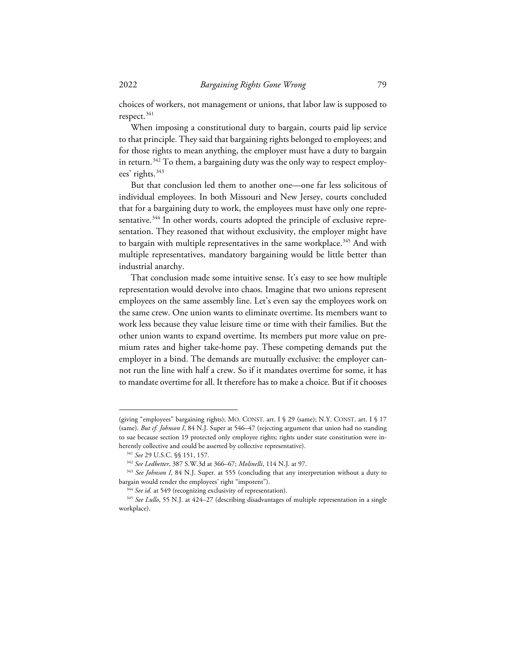choices of workers, not management or unions, that labor law is supposed to respect.<sup>[341](#page-38-0)</sup>

When imposing a constitutional duty to bargain, courts paid lip service to that principle. They said that bargaining rights belonged to employees; and for those rights to mean anything, the employer must have a duty to bargain in return.<sup>[342](#page-38-1)</sup> To them, a bargaining duty was the only way to respect employ-ees' rights.<sup>[343](#page-38-2)</sup>

But that conclusion led them to another one—one far less solicitous of individual employees. In both Missouri and New Jersey, courts concluded that for a bargaining duty to work, the employees must have only one repre-sentative.<sup>[344](#page-38-3)</sup> In other words, courts adopted the principle of exclusive representation. They reasoned that without exclusivity, the employer might have to bargain with multiple representatives in the same workplace.<sup>[345](#page-38-4)</sup> And with multiple representatives, mandatory bargaining would be little better than industrial anarchy.

That conclusion made some intuitive sense. It's easy to see how multiple representation would devolve into chaos. Imagine that two unions represent employees on the same assembly line. Let's even say the employees work on the same crew. One union wants to eliminate overtime. Its members want to work less because they value leisure time or time with their families. But the other union wants to expand overtime. Its members put more value on premium rates and higher take-home pay. These competing demands put the employer in a bind. The demands are mutually exclusive: the employer cannot run the line with half a crew. So if it mandates overtime for some, it has to mandate overtime for all. It therefore has to make a choice. But if it chooses

<sup>(</sup>giving "employees" bargaining rights); MO. CONST. art. I § 29 (same); N.Y. CONST. art. I § 17 (same). *But cf. Johnson I*, 84 N.J. Super at 546–47 (rejecting argument that union had no standing to sue because section 19 protected only employee rights; rights under state constitution were inherently collective and could be asserted by collective representative).<br><sup>341</sup> See 29 U.S.C. §§ 151, 157.<br><sup>342</sup> See Ledbetter, 387 S.W.3d at 366–67; *Molinelli*, 114 N.J. at 97.<br><sup>343</sup> See Johnson I, 84 N.J. Super. at 555 (

<span id="page-38-2"></span><span id="page-38-1"></span><span id="page-38-0"></span>bargain would render the employees' right "impotent").

<sup>&</sup>lt;sup>344</sup> See id. at 549 (recognizing exclusivity of representation).

<span id="page-38-4"></span><span id="page-38-3"></span><sup>&</sup>lt;sup>345</sup> See Lullo, 55 N.J. at 424–27 (describing disadvantages of multiple representation in a single workplace).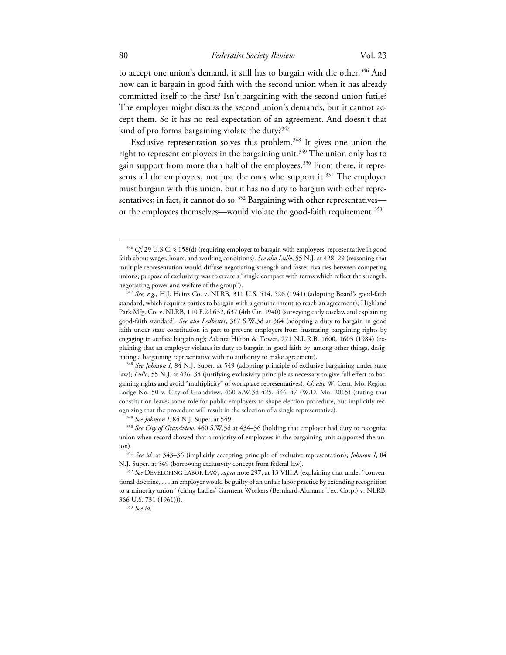to accept one union's demand, it still has to bargain with the other.<sup>[346](#page-39-0)</sup> And how can it bargain in good faith with the second union when it has already committed itself to the first? Isn't bargaining with the second union futile? The employer might discuss the second union's demands, but it cannot accept them. So it has no real expectation of an agreement. And doesn't that kind of pro forma bargaining violate the duty? $347$ 

Exclusive representation solves this problem. [348](#page-39-2) It gives one union the right to represent employees in the bargaining unit.<sup>[349](#page-39-3)</sup> The union only has to gain support from more than half of the employees.<sup>[350](#page-39-4)</sup> From there, it repre-sents all the employees, not just the ones who support it.<sup>[351](#page-39-5)</sup> The employer must bargain with this union, but it has no duty to bargain with other representatives; in fact, it cannot do so. $352$  Bargaining with other representatives— or the employees themselves—would violate the good-faith requirement.<sup>[353](#page-39-7)</sup>

<span id="page-39-0"></span><sup>&</sup>lt;sup>346</sup> *Cf.* 29 U.S.C. § 158(d) (requiring employer to bargain with employees' representative in good faith about wages, hours, and working conditions). *See also Lullo*, 55 N.J. at 428–29 (reasoning that multiple representation would diffuse negotiating strength and foster rivalries between competing unions; purpose of exclusivity was to create a "single compact with terms which reflect the strength,

<span id="page-39-1"></span>negotiating power and welfare of the group"). 347 *See, e.g.*, H.J. Heinz Co. v. NLRB, 311 U.S. 514, 526 (1941) (adopting Board's good-faith standard, which requires parties to bargain with a genuine intent to reach an agreement); Highland Park Mfg. Co. v. NLRB, 110 F.2d 632, 637 (4th Cir. 1940) (surveying early caselaw and explaining good-faith standard). *See also Ledbetter*, 387 S.W.3d at 364 (adopting a duty to bargain in good faith under state constitution in part to prevent employers from frustrating bargaining rights by engaging in surface bargaining); Atlanta Hilton & Tower, 271 N.L.R.B. 1600, 1603 (1984) (explaining that an employer violates its duty to bargain in good faith by, among other things, designating a bargaining representative with no authority to make agreement). 348 *See Johnson I*, 84 N.J. Super. at 549 (adopting principle of exclusive bargaining under state

<span id="page-39-2"></span>law); *Lullo*, 55 N.J. at 426–34 (justifying exclusivity principle as necessary to give full effect to bargaining rights and avoid "multiplicity" of workplace representatives). *Cf. also* W. Cent. Mo. Region Lodge No. 50 v. City of Grandview, 460 S.W.3d 425, 446–47 (W.D. Mo. 2015) (stating that constitution leaves some role for public employers to shape election procedure, but implicitly recognizing that the procedure will result in the selection of a single representative).<br><sup>349</sup> See Johnson I, 84 N.J. Super. at 549.<br><sup>350</sup> See City of Grandview, 460 S.W.3d at 434–36 (holding that employer had duty to recogni

<span id="page-39-4"></span><span id="page-39-3"></span>union when record showed that a majority of employees in the bargaining unit supported the union). 351 *See id.* at 343–36 (implicitly accepting principle of exclusive representation); *Johnson I*, 84

<span id="page-39-5"></span>N.J. Super. at 549 (borrowing exclusivity concept from federal law). 352 *See* DEVELOPING LABOR LAW, *supra* note 297, at 13 VIII.A (explaining that under "conven-

<span id="page-39-7"></span><span id="page-39-6"></span>tional doctrine, . . . an employer would be guilty of an unfair labor practice by extending recognition to a minority union" (citing Ladies' Garment Workers (Bernhard-Altmann Tex. Corp.) v. NLRB, 366 U.S. 731 (1961))). 353 *See id.*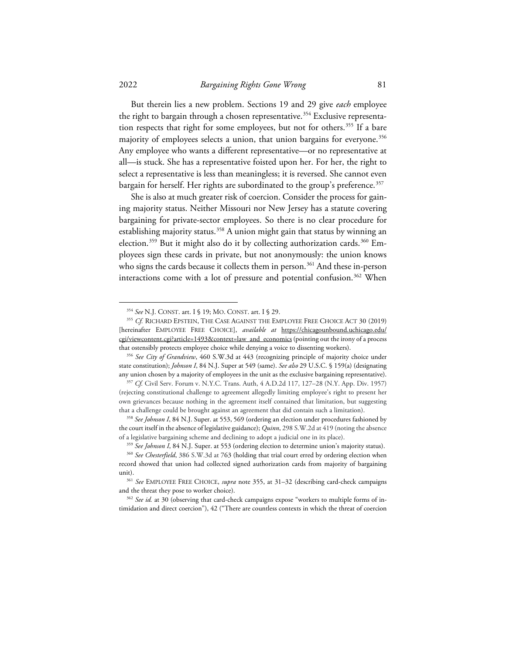But therein lies a new problem. Sections 19 and 29 give *each* employee the right to bargain through a chosen representative.<sup>[354](#page-40-0)</sup> Exclusive representa-tion respects that right for some employees, but not for others.<sup>[355](#page-40-1)</sup> If a bare majority of employees selects a union, that union bargains for everyone.<sup>[356](#page-40-2)</sup> Any employee who wants a different representative—or no representative at all—is stuck. She has a representative foisted upon her. For her, the right to select a representative is less than meaningless; it is reversed. She cannot even bargain for herself. Her rights are subordinated to the group's preference.<sup>[357](#page-40-3)</sup>

She is also at much greater risk of coercion. Consider the process for gaining majority status. Neither Missouri nor New Jersey has a statute covering bargaining for private-sector employees. So there is no clear procedure for establishing majority status.<sup>[358](#page-40-4)</sup> A union might gain that status by winning an election.<sup>[359](#page-40-5)</sup> But it might also do it by collecting authorization cards.<sup>[360](#page-40-6)</sup> Employees sign these cards in private, but not anonymously: the union knows who signs the cards because it collects them in person.<sup>[361](#page-40-7)</sup> And these in-person interactions come with a lot of pressure and potential confusion.<sup>[362](#page-40-8)</sup> When

<span id="page-40-1"></span><span id="page-40-0"></span><sup>&</sup>lt;sup>354</sup> See N.J. CONST. art. I § 19; MO. CONST. art. I § 29.<br><sup>355</sup> *Cf.* RICHARD EPSTEIN, THE CASE AGAINST THE EMPLOYEE FREE CHOICE ACT 30 (2019) [hereinafter EMPLOYEE FREE CHOICE], *available at* https://chicagounbound.uchicago.edu/ cgi/viewcontent.cgi?article=1493&context=law\_and\_economics (pointing out the irony of a process that ostensibly protects employee choice while denying a voice to dissenting workers). 356 *See City of Grandview*, 460 S.W.3d at 443 (recognizing principle of majority choice under

<span id="page-40-2"></span>state constitution); *Johnson I*, 84 N.J. Super at 549 (same). *See also* 29 U.S.C. § 159(a) (designating

<span id="page-40-3"></span>any union chosen by a majority of employees in the unit as the exclusive bargaining representative). 357 *Cf.* Civil Serv. Forum v. N.Y.C. Trans. Auth, 4 A.D.2d 117, 127–28 (N.Y. App. Div. 1957) (rejecting constitutional challenge to agreement allegedly limiting employee's right to present her own grievances because nothing in the agreement itself contained that limitation, but suggesting that a challenge could be brought against an agreement that did contain such a limitation).

<span id="page-40-4"></span><sup>358</sup> *See Johnson I*, 84 N.J. Super. at 553, 569 (ordering an election under procedures fashioned by the court itself in the absence of legislative guidance); *Quinn*, 298 S.W.2d at 419 (noting the absence of a legislative bargaining scheme and declining to adopt a judicial one in its place).

<sup>359</sup> *See Johnson I*, 84 N.J. Super. at 553 (ordering election to determine union's majority status).

<span id="page-40-6"></span><span id="page-40-5"></span><sup>360</sup> *See Chesterfield*, 386 S.W.3d at 763 (holding that trial court erred by ordering election when record showed that union had collected signed authorization cards from majority of bargaining unit). 361 *See* EMPLOYEE FREE CHOICE, *supra* note 355, at 31–32 (describing card-check campaigns

<span id="page-40-7"></span>and the threat they pose to worker choice).<br><sup>362</sup> *See id.* at 30 (observing that card-check campaigns expose "workers to multiple forms of in-

<span id="page-40-8"></span>timidation and direct coercion"), 42 ("There are countless contexts in which the threat of coercion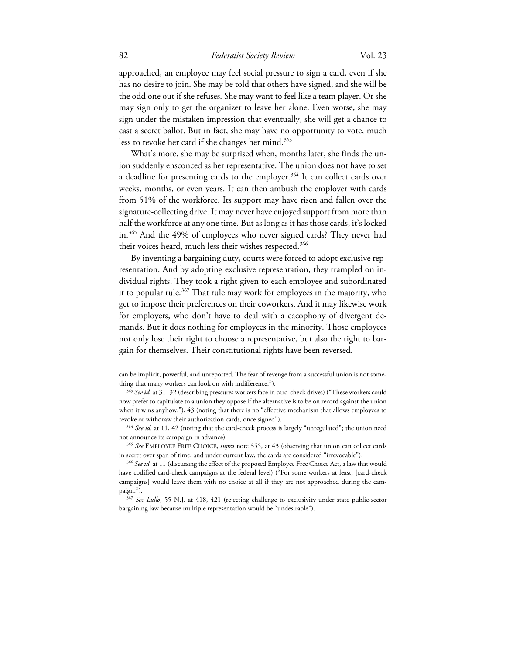### 82 *Federalist Society Review* Vol. 23

approached, an employee may feel social pressure to sign a card, even if she has no desire to join. She may be told that others have signed, and she will be the odd one out if she refuses. She may want to feel like a team player. Or she may sign only to get the organizer to leave her alone. Even worse, she may sign under the mistaken impression that eventually, she will get a chance to cast a secret ballot. But in fact, she may have no opportunity to vote, much less to revoke her card if she changes her mind.<sup>[363](#page-41-0)</sup>

What's more, she may be surprised when, months later, she finds the union suddenly ensconced as her representative. The union does not have to set a deadline for presenting cards to the employer.<sup>[364](#page-41-1)</sup> It can collect cards over weeks, months, or even years. It can then ambush the employer with cards from 51% of the workforce. Its support may have risen and fallen over the signature-collecting drive. It may never have enjoyed support from more than half the workforce at any one time. But as long as it has those cards, it's locked in.[365](#page-41-2) And the 49% of employees who never signed cards? They never had their voices heard, much less their wishes respected.<sup>[366](#page-41-3)</sup>

By inventing a bargaining duty, courts were forced to adopt exclusive representation. And by adopting exclusive representation, they trampled on individual rights. They took a right given to each employee and subordinated it to popular rule.<sup>[367](#page-41-4)</sup> That rule may work for employees in the majority, who get to impose their preferences on their coworkers. And it may likewise work for employers, who don't have to deal with a cacophony of divergent demands. But it does nothing for employees in the minority. Those employees not only lose their right to choose a representative, but also the right to bargain for themselves. Their constitutional rights have been reversed.

can be implicit, powerful, and unreported. The fear of revenge from a successful union is not something that many workers can look on with indifference."). 363 *See id.* at 31–32 (describing pressures workers face in card-check drives) ("These workers could

<span id="page-41-0"></span>now prefer to capitulate to a union they oppose if the alternative is to be on record against the union when it wins anyhow."), 43 (noting that there is no "effective mechanism that allows employees to revoke or withdraw their authorization cards, once signed").

<span id="page-41-1"></span><sup>&</sup>lt;sup>364</sup> See id. at 11, 42 (noting that the card-check process is largely "unregulated"; the union need not announce its campaign in advance). 365 *See* EMPLOYEE FREE CHOICE, *supra* note 355, at 43 (observing that union can collect cards

<span id="page-41-3"></span><span id="page-41-2"></span>in secret over span of time, and under current law, the cards are considered "irrevocable"). 366 *See id.* at 11 (discussing the effect of the proposed Employee Free Choice Act, a law that would have codified card-check campaigns at the federal level) ("For some workers at least, [card-check campaigns] would leave them with no choice at all if they are not approached during the campaign."). 367 *See Lullo*, 55 N.J. at 418, 421 (rejecting challenge to exclusivity under state public-sector

<span id="page-41-4"></span>bargaining law because multiple representation would be "undesirable").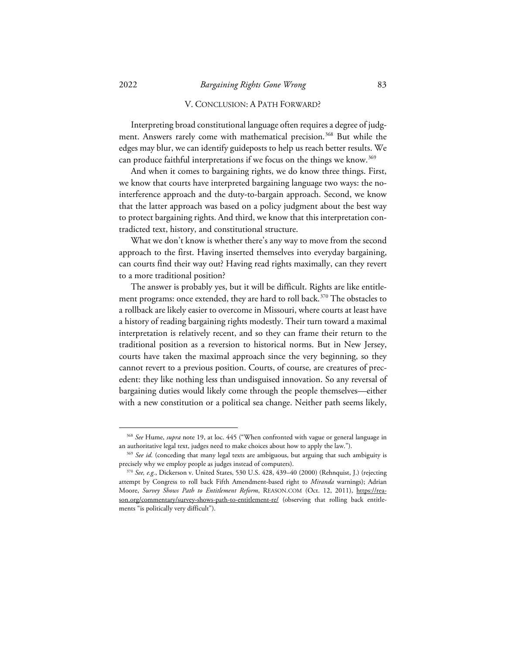### V. CONCLUSION: A PATH FORWARD?

Interpreting broad constitutional language often requires a degree of judg-ment. Answers rarely come with mathematical precision.<sup>[368](#page-42-0)</sup> But while the edges may blur, we can identify guideposts to help us reach better results. We can produce faithful interpretations if we focus on the things we know.<sup>[369](#page-42-1)</sup>

And when it comes to bargaining rights, we do know three things. First, we know that courts have interpreted bargaining language two ways: the nointerference approach and the duty-to-bargain approach. Second, we know that the latter approach was based on a policy judgment about the best way to protect bargaining rights. And third, we know that this interpretation contradicted text, history, and constitutional structure.

What we don't know is whether there's any way to move from the second approach to the first. Having inserted themselves into everyday bargaining, can courts find their way out? Having read rights maximally, can they revert to a more traditional position?

The answer is probably yes, but it will be difficult. Rights are like entitlement programs: once extended, they are hard to roll back. [370](#page-42-2) The obstacles to a rollback are likely easier to overcome in Missouri, where courts at least have a history of reading bargaining rights modestly. Their turn toward a maximal interpretation is relatively recent, and so they can frame their return to the traditional position as a reversion to historical norms. But in New Jersey, courts have taken the maximal approach since the very beginning, so they cannot revert to a previous position. Courts, of course, are creatures of precedent: they like nothing less than undisguised innovation. So any reversal of bargaining duties would likely come through the people themselves—either with a new constitution or a political sea change. Neither path seems likely,

<sup>368</sup> *See* Hume, *supra* note 19, at loc. 445 ("When confronted with vague or general language in

<span id="page-42-1"></span><span id="page-42-0"></span>an authoritative legal text, judges need to make choices about how to apply the law.").<br><sup>369</sup> *See id.* (conceding that many legal texts are ambiguous, but arguing that such ambiguity is precisely why we employ people as judges instead of computers). 370 *See, e.g.*, Dickerson v. United States, 530 U.S. 428, 439–40 (2000) (Rehnquist, J.) (rejecting

<span id="page-42-2"></span>attempt by Congress to roll back Fifth Amendment-based right to *Miranda* warnings); Adrian Moore, *Survey Shows Path to Entitlement Reform*, REASON.COM (Oct. 12, 2011), https://reason.org/commentary/survey-shows-path-to-entitlement-re/ (observing that rolling back entitlements "is politically very difficult").